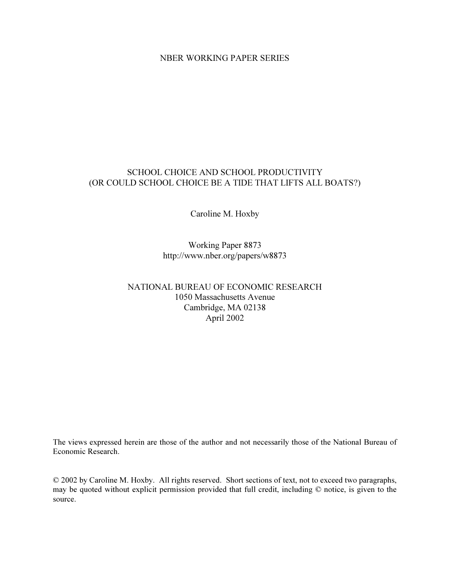# NBER WORKING PAPER SERIES

# SCHOOL CHOICE AND SCHOOL PRODUCTIVITY (OR COULD SCHOOL CHOICE BE A TIDE THAT LIFTS ALL BOATS?)

Caroline M. Hoxby

Working Paper 8873 http://www.nber.org/papers/w8873

# NATIONAL BUREAU OF ECONOMIC RESEARCH 1050 Massachusetts Avenue Cambridge, MA 02138 April 2002

The views expressed herein are those of the author and not necessarily those of the National Bureau of Economic Research.

© 2002 by Caroline M. Hoxby. All rights reserved. Short sections of text, not to exceed two paragraphs, may be quoted without explicit permission provided that full credit, including © notice, is given to the source.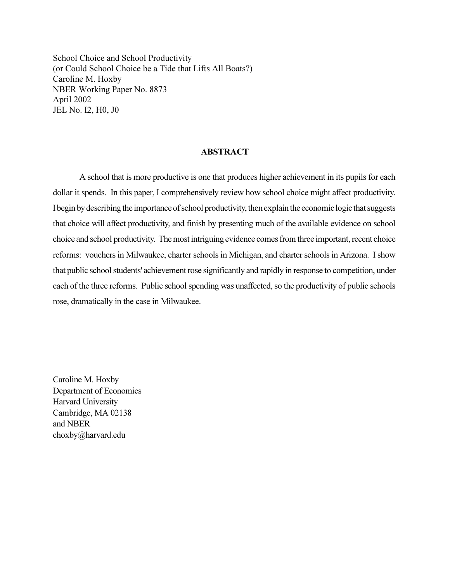School Choice and School Productivity (or Could School Choice be a Tide that Lifts All Boats?) Caroline M. Hoxby NBER Working Paper No. 8873 April 2002 JEL No. I2, H0, J0

# **ABSTRACT**

A school that is more productive is one that produces higher achievement in its pupils for each dollar it spends. In this paper, I comprehensively review how school choice might affect productivity. I begin by describing the importance of school productivity, then explain the economic logic that suggests that choice will affect productivity, and finish by presenting much of the available evidence on school choice and school productivity. The most intriguing evidence comes from three important, recent choice reforms: vouchers in Milwaukee, charter schools in Michigan, and charter schools in Arizona. I show that public school students' achievement rose significantly and rapidly in response to competition, under each of the three reforms. Public school spending was unaffected, so the productivity of public schools rose, dramatically in the case in Milwaukee.

Caroline M. Hoxby Department of Economics Harvard University Cambridge, MA 02138 and NBER choxby@harvard.edu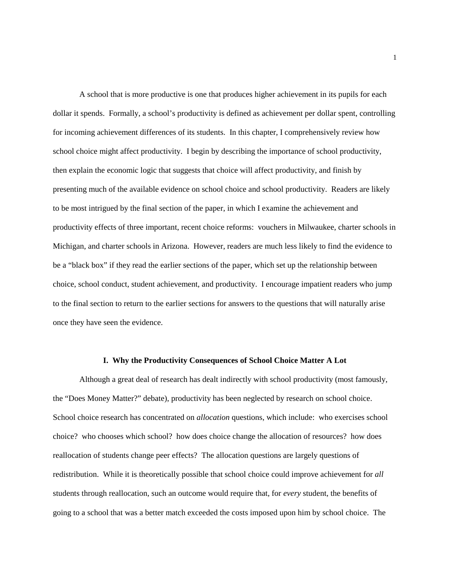A school that is more productive is one that produces higher achievement in its pupils for each dollar it spends. Formally, a school's productivity is defined as achievement per dollar spent, controlling for incoming achievement differences of its students. In this chapter, I comprehensively review how school choice might affect productivity. I begin by describing the importance of school productivity, then explain the economic logic that suggests that choice will affect productivity, and finish by presenting much of the available evidence on school choice and school productivity. Readers are likely to be most intrigued by the final section of the paper, in which I examine the achievement and productivity effects of three important, recent choice reforms: vouchers in Milwaukee, charter schools in Michigan, and charter schools in Arizona. However, readers are much less likely to find the evidence to be a "black box" if they read the earlier sections of the paper, which set up the relationship between choice, school conduct, student achievement, and productivity. I encourage impatient readers who jump to the final section to return to the earlier sections for answers to the questions that will naturally arise once they have seen the evidence.

## **I. Why the Productivity Consequences of School Choice Matter A Lot**

Although a great deal of research has dealt indirectly with school productivity (most famously, the "Does Money Matter?" debate), productivity has been neglected by research on school choice. School choice research has concentrated on *allocation* questions, which include: who exercises school choice? who chooses which school? how does choice change the allocation of resources? how does reallocation of students change peer effects? The allocation questions are largely questions of redistribution. While it is theoretically possible that school choice could improve achievement for *all* students through reallocation, such an outcome would require that, for *every* student, the benefits of going to a school that was a better match exceeded the costs imposed upon him by school choice. The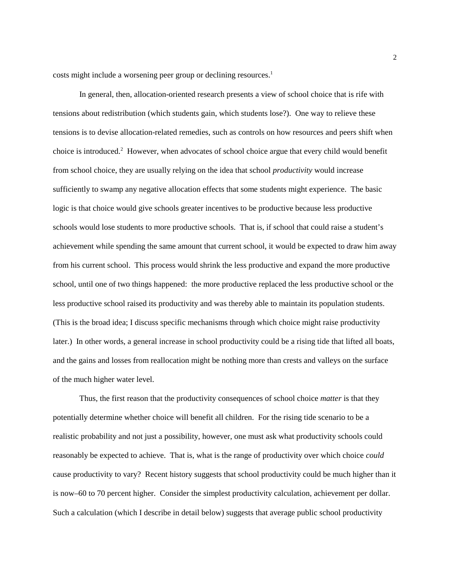costs might include a worsening peer group or declining resources.<sup>1</sup>

In general, then, allocation-oriented research presents a view of school choice that is rife with tensions about redistribution (which students gain, which students lose?). One way to relieve these tensions is to devise allocation-related remedies, such as controls on how resources and peers shift when choice is introduced.<sup>2</sup> However, when advocates of school choice argue that every child would benefit from school choice, they are usually relying on the idea that school *productivity* would increase sufficiently to swamp any negative allocation effects that some students might experience. The basic logic is that choice would give schools greater incentives to be productive because less productive schools would lose students to more productive schools. That is, if school that could raise a student's achievement while spending the same amount that current school, it would be expected to draw him away from his current school. This process would shrink the less productive and expand the more productive school, until one of two things happened: the more productive replaced the less productive school or the less productive school raised its productivity and was thereby able to maintain its population students. (This is the broad idea; I discuss specific mechanisms through which choice might raise productivity later.) In other words, a general increase in school productivity could be a rising tide that lifted all boats, and the gains and losses from reallocation might be nothing more than crests and valleys on the surface of the much higher water level.

Thus, the first reason that the productivity consequences of school choice *matter* is that they potentially determine whether choice will benefit all children. For the rising tide scenario to be a realistic probability and not just a possibility, however, one must ask what productivity schools could reasonably be expected to achieve. That is, what is the range of productivity over which choice *could* cause productivity to vary? Recent history suggests that school productivity could be much higher than it is now–60 to 70 percent higher. Consider the simplest productivity calculation, achievement per dollar. Such a calculation (which I describe in detail below) suggests that average public school productivity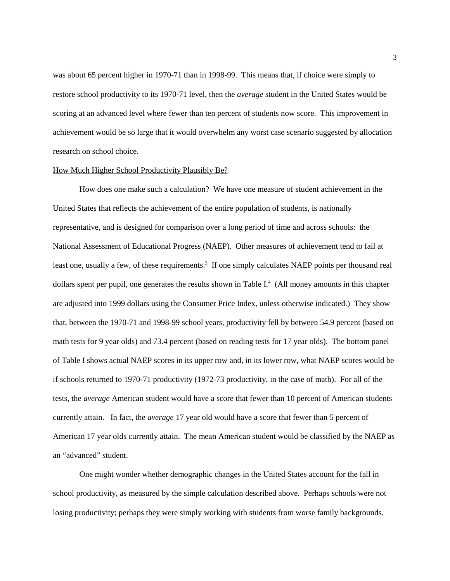was about 65 percent higher in 1970-71 than in 1998-99. This means that, if choice were simply to restore school productivity to its 1970-71 level, then the *average* student in the United States would be scoring at an advanced level where fewer than ten percent of students now score. This improvement in achievement would be so large that it would overwhelm any worst case scenario suggested by allocation research on school choice.

#### How Much Higher School Productivity Plausibly Be?

How does one make such a calculation? We have one measure of student achievement in the United States that reflects the achievement of the entire population of students, is nationally representative, and is designed for comparison over a long period of time and across schools: the National Assessment of Educational Progress (NAEP). Other measures of achievement tend to fail at least one, usually a few, of these requirements.<sup>3</sup> If one simply calculates NAEP points per thousand real dollars spent per pupil, one generates the results shown in Table I.<sup>4</sup> (All money amounts in this chapter are adjusted into 1999 dollars using the Consumer Price Index, unless otherwise indicated.) They show that, between the 1970-71 and 1998-99 school years, productivity fell by between 54.9 percent (based on math tests for 9 year olds) and 73.4 percent (based on reading tests for 17 year olds). The bottom panel of Table I shows actual NAEP scores in its upper row and, in its lower row, what NAEP scores would be if schools returned to 1970-71 productivity (1972-73 productivity, in the case of math). For all of the tests, the *average* American student would have a score that fewer than 10 percent of American students currently attain. In fact, the *average* 17 year old would have a score that fewer than 5 percent of American 17 year olds currently attain. The mean American student would be classified by the NAEP as an "advanced" student.

One might wonder whether demographic changes in the United States account for the fall in school productivity, as measured by the simple calculation described above. Perhaps schools were not losing productivity; perhaps they were simply working with students from worse family backgrounds.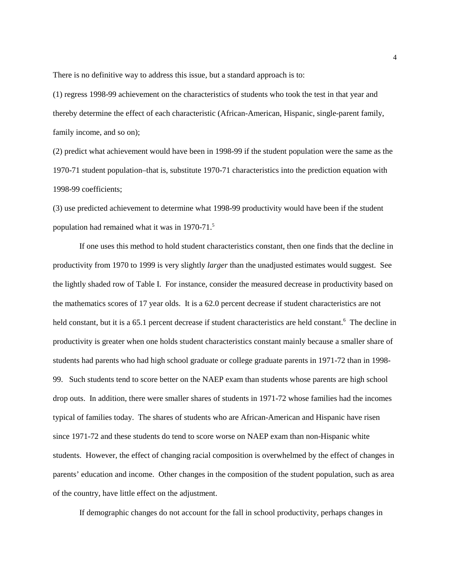There is no definitive way to address this issue, but a standard approach is to:

(1) regress 1998-99 achievement on the characteristics of students who took the test in that year and thereby determine the effect of each characteristic (African-American, Hispanic, single-parent family, family income, and so on);

(2) predict what achievement would have been in 1998-99 if the student population were the same as the 1970-71 student population–that is, substitute 1970-71 characteristics into the prediction equation with 1998-99 coefficients;

(3) use predicted achievement to determine what 1998-99 productivity would have been if the student population had remained what it was in 1970-71.5

If one uses this method to hold student characteristics constant, then one finds that the decline in productivity from 1970 to 1999 is very slightly *larger* than the unadjusted estimates would suggest. See the lightly shaded row of Table I. For instance, consider the measured decrease in productivity based on the mathematics scores of 17 year olds. It is a 62.0 percent decrease if student characteristics are not held constant, but it is a 65.1 percent decrease if student characteristics are held constant.<sup>6</sup> The decline in productivity is greater when one holds student characteristics constant mainly because a smaller share of students had parents who had high school graduate or college graduate parents in 1971-72 than in 1998- 99. Such students tend to score better on the NAEP exam than students whose parents are high school drop outs. In addition, there were smaller shares of students in 1971-72 whose families had the incomes typical of families today. The shares of students who are African-American and Hispanic have risen since 1971-72 and these students do tend to score worse on NAEP exam than non-Hispanic white students. However, the effect of changing racial composition is overwhelmed by the effect of changes in parents' education and income. Other changes in the composition of the student population, such as area of the country, have little effect on the adjustment.

If demographic changes do not account for the fall in school productivity, perhaps changes in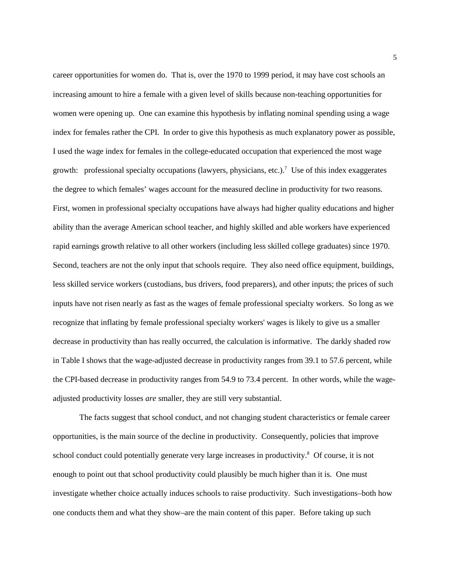career opportunities for women do. That is, over the 1970 to 1999 period, it may have cost schools an increasing amount to hire a female with a given level of skills because non-teaching opportunities for women were opening up. One can examine this hypothesis by inflating nominal spending using a wage index for females rather the CPI. In order to give this hypothesis as much explanatory power as possible, I used the wage index for females in the college-educated occupation that experienced the most wage growth: professional specialty occupations (lawyers, physicians, etc.).<sup>7</sup> Use of this index exaggerates the degree to which females' wages account for the measured decline in productivity for two reasons. First, women in professional specialty occupations have always had higher quality educations and higher ability than the average American school teacher, and highly skilled and able workers have experienced rapid earnings growth relative to all other workers (including less skilled college graduates) since 1970. Second, teachers are not the only input that schools require. They also need office equipment, buildings, less skilled service workers (custodians, bus drivers, food preparers), and other inputs; the prices of such inputs have not risen nearly as fast as the wages of female professional specialty workers. So long as we recognize that inflating by female professional specialty workers' wages is likely to give us a smaller decrease in productivity than has really occurred, the calculation is informative. The darkly shaded row in Table I shows that the wage-adjusted decrease in productivity ranges from 39.1 to 57.6 percent, while the CPI-based decrease in productivity ranges from 54.9 to 73.4 percent. In other words, while the wageadjusted productivity losses *are* smaller, they are still very substantial.

The facts suggest that school conduct, and not changing student characteristics or female career opportunities, is the main source of the decline in productivity. Consequently, policies that improve school conduct could potentially generate very large increases in productivity.<sup>8</sup> Of course, it is not enough to point out that school productivity could plausibly be much higher than it is. One must investigate whether choice actually induces schools to raise productivity. Such investigations–both how one conducts them and what they show–are the main content of this paper. Before taking up such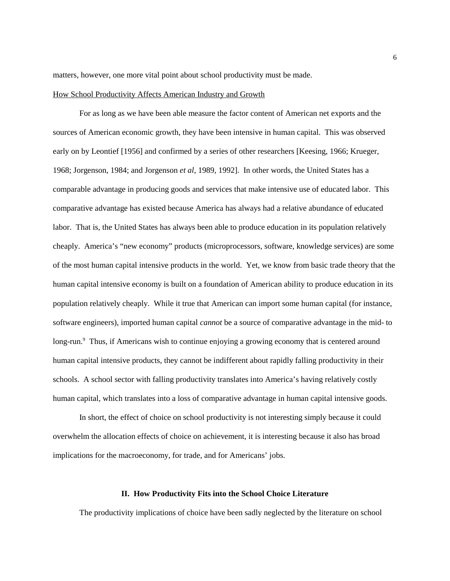matters, however, one more vital point about school productivity must be made.

#### How School Productivity Affects American Industry and Growth

For as long as we have been able measure the factor content of American net exports and the sources of American economic growth, they have been intensive in human capital. This was observed early on by Leontief [1956] and confirmed by a series of other researchers [Keesing, 1966; Krueger, 1968; Jorgenson, 1984; and Jorgenson *et al*, 1989, 1992]. In other words, the United States has a comparable advantage in producing goods and services that make intensive use of educated labor. This comparative advantage has existed because America has always had a relative abundance of educated labor. That is, the United States has always been able to produce education in its population relatively cheaply. America's "new economy" products (microprocessors, software, knowledge services) are some of the most human capital intensive products in the world. Yet, we know from basic trade theory that the human capital intensive economy is built on a foundation of American ability to produce education in its population relatively cheaply. While it true that American can import some human capital (for instance, software engineers), imported human capital *cannot* be a source of comparative advantage in the mid- to long-run.<sup>9</sup> Thus, if Americans wish to continue enjoying a growing economy that is centered around human capital intensive products, they cannot be indifferent about rapidly falling productivity in their schools. A school sector with falling productivity translates into America's having relatively costly human capital, which translates into a loss of comparative advantage in human capital intensive goods.

In short, the effect of choice on school productivity is not interesting simply because it could overwhelm the allocation effects of choice on achievement, it is interesting because it also has broad implications for the macroeconomy, for trade, and for Americans' jobs.

# **II. How Productivity Fits into the School Choice Literature**

The productivity implications of choice have been sadly neglected by the literature on school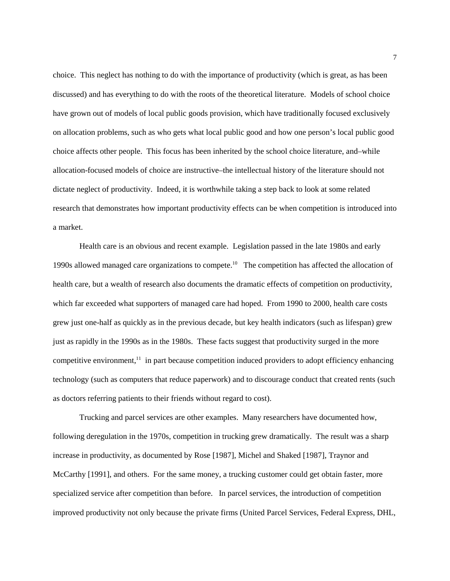choice. This neglect has nothing to do with the importance of productivity (which is great, as has been discussed) and has everything to do with the roots of the theoretical literature. Models of school choice have grown out of models of local public goods provision, which have traditionally focused exclusively on allocation problems, such as who gets what local public good and how one person's local public good choice affects other people. This focus has been inherited by the school choice literature, and–while allocation-focused models of choice are instructive–the intellectual history of the literature should not dictate neglect of productivity. Indeed, it is worthwhile taking a step back to look at some related research that demonstrates how important productivity effects can be when competition is introduced into a market.

Health care is an obvious and recent example. Legislation passed in the late 1980s and early 1990s allowed managed care organizations to compete.10 The competition has affected the allocation of health care, but a wealth of research also documents the dramatic effects of competition on productivity, which far exceeded what supporters of managed care had hoped. From 1990 to 2000, health care costs grew just one-half as quickly as in the previous decade, but key health indicators (such as lifespan) grew just as rapidly in the 1990s as in the 1980s. These facts suggest that productivity surged in the more competitive environment, $11$  in part because competition induced providers to adopt efficiency enhancing technology (such as computers that reduce paperwork) and to discourage conduct that created rents (such as doctors referring patients to their friends without regard to cost).

Trucking and parcel services are other examples. Many researchers have documented how, following deregulation in the 1970s, competition in trucking grew dramatically. The result was a sharp increase in productivity, as documented by Rose [1987], Michel and Shaked [1987], Traynor and McCarthy [1991], and others. For the same money, a trucking customer could get obtain faster, more specialized service after competition than before. In parcel services, the introduction of competition improved productivity not only because the private firms (United Parcel Services, Federal Express, DHL,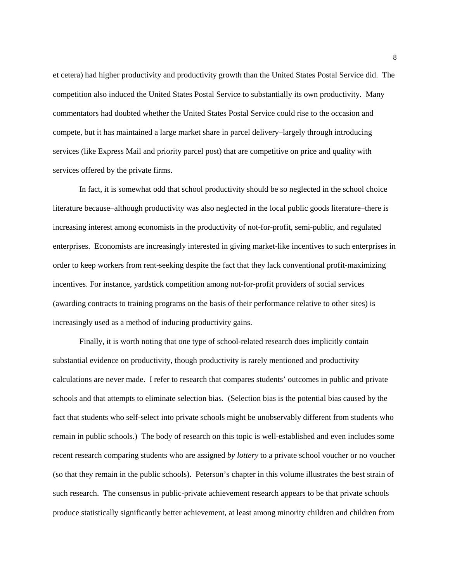et cetera) had higher productivity and productivity growth than the United States Postal Service did. The competition also induced the United States Postal Service to substantially its own productivity. Many commentators had doubted whether the United States Postal Service could rise to the occasion and compete, but it has maintained a large market share in parcel delivery–largely through introducing services (like Express Mail and priority parcel post) that are competitive on price and quality with services offered by the private firms.

In fact, it is somewhat odd that school productivity should be so neglected in the school choice literature because–although productivity was also neglected in the local public goods literature–there is increasing interest among economists in the productivity of not-for-profit, semi-public, and regulated enterprises. Economists are increasingly interested in giving market-like incentives to such enterprises in order to keep workers from rent-seeking despite the fact that they lack conventional profit-maximizing incentives. For instance, yardstick competition among not-for-profit providers of social services (awarding contracts to training programs on the basis of their performance relative to other sites) is increasingly used as a method of inducing productivity gains.

Finally, it is worth noting that one type of school-related research does implicitly contain substantial evidence on productivity, though productivity is rarely mentioned and productivity calculations are never made. I refer to research that compares students' outcomes in public and private schools and that attempts to eliminate selection bias. (Selection bias is the potential bias caused by the fact that students who self-select into private schools might be unobservably different from students who remain in public schools.) The body of research on this topic is well-established and even includes some recent research comparing students who are assigned *by lottery* to a private school voucher or no voucher (so that they remain in the public schools). Peterson's chapter in this volume illustrates the best strain of such research. The consensus in public-private achievement research appears to be that private schools produce statistically significantly better achievement, at least among minority children and children from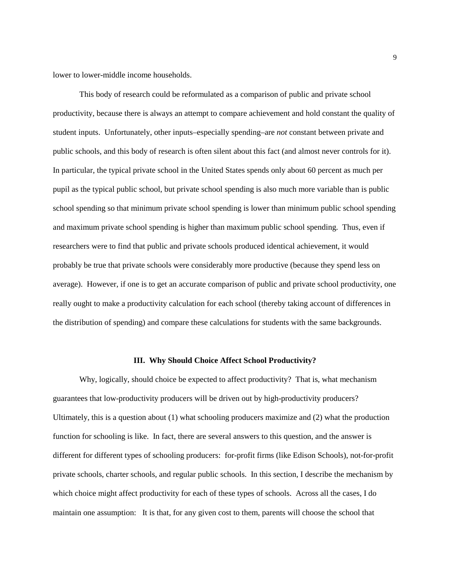lower to lower-middle income households.

This body of research could be reformulated as a comparison of public and private school productivity, because there is always an attempt to compare achievement and hold constant the quality of student inputs. Unfortunately, other inputs–especially spending–are *not* constant between private and public schools, and this body of research is often silent about this fact (and almost never controls for it). In particular, the typical private school in the United States spends only about 60 percent as much per pupil as the typical public school, but private school spending is also much more variable than is public school spending so that minimum private school spending is lower than minimum public school spending and maximum private school spending is higher than maximum public school spending. Thus, even if researchers were to find that public and private schools produced identical achievement, it would probably be true that private schools were considerably more productive (because they spend less on average). However, if one is to get an accurate comparison of public and private school productivity, one really ought to make a productivity calculation for each school (thereby taking account of differences in the distribution of spending) and compare these calculations for students with the same backgrounds.

#### **III. Why Should Choice Affect School Productivity?**

Why, logically, should choice be expected to affect productivity? That is, what mechanism guarantees that low-productivity producers will be driven out by high-productivity producers? Ultimately, this is a question about (1) what schooling producers maximize and (2) what the production function for schooling is like. In fact, there are several answers to this question, and the answer is different for different types of schooling producers: for-profit firms (like Edison Schools), not-for-profit private schools, charter schools, and regular public schools. In this section, I describe the mechanism by which choice might affect productivity for each of these types of schools. Across all the cases, I do maintain one assumption: It is that, for any given cost to them, parents will choose the school that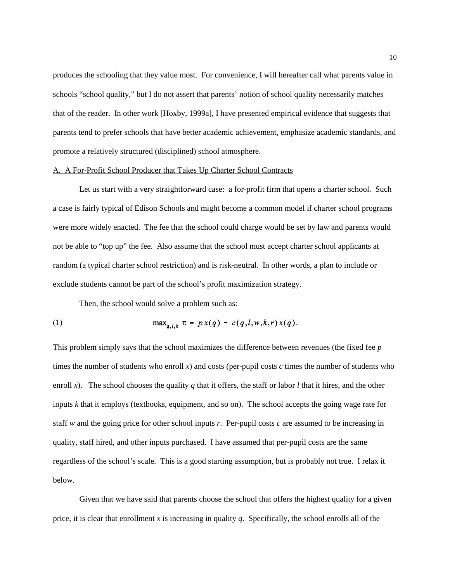produces the schooling that they value most. For convenience, I will hereafter call what parents value in schools "school quality," but I do not assert that parents' notion of school quality necessarily matches that of the reader. In other work [Hoxby, 1999a], I have presented empirical evidence that suggests that parents tend to prefer schools that have better academic achievement, emphasize academic standards, and promote a relatively structured (disciplined) school atmosphere.

#### A. A For-Profit School Producer that Takes Up Charter School Contracts

Let us start with a very straightforward case: a for-profit firm that opens a charter school. Such a case is fairly typical of Edison Schools and might become a common model if charter school programs were more widely enacted. The fee that the school could charge would be set by law and parents would not be able to "top up" the fee. Also assume that the school must accept charter school applicants at random (a typical charter school restriction) and is risk-neutral. In other words, a plan to include or exclude students cannot be part of the school's profit maximization strategy.

Then, the school would solve a problem such as:

(1) 
$$
\max_{q,l,k} \pi = px(q) - c(q,l,w,k,r)x(q).
$$

This problem simply says that the school maximizes the difference between revenues (the fixed fee *p* times the number of students who enroll *x*) and costs (per-pupil costs *c* times the number of students who enroll *x*). The school chooses the quality *q* that it offers, the staff or labor *l* that it hires, and the other inputs *k* that it employs (textbooks, equipment, and so on). The school accepts the going wage rate for staff *w* and the going price for other school inputs *r*. Per-pupil costs *c* are assumed to be increasing in quality, staff hired, and other inputs purchased. I have assumed that per-pupil costs are the same regardless of the school's scale. This is a good starting assumption, but is probably not true. I relax it below.

Given that we have said that parents choose the school that offers the highest quality for a given price, it is clear that enrollment *x* is increasing in quality *q*. Specifically, the school enrolls all of the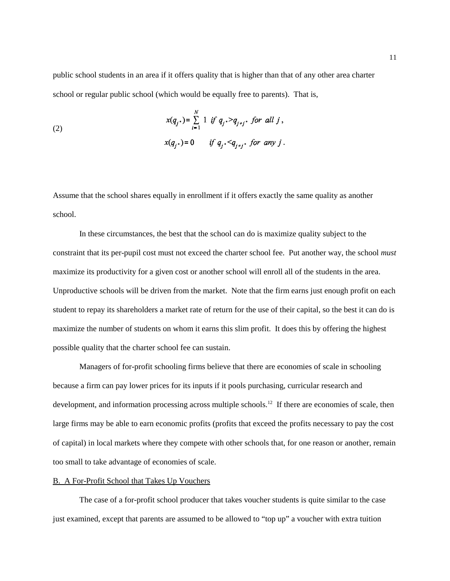public school students in an area if it offers quality that is higher than that of any other area charter school or regular public school (which would be equally free to parents). That is,

(2) 
$$
x(q_{j^*}) = \sum_{i=1}^{N} 1 \text{ if } q_{j^*} > q_{j^*j^*} \text{ for all } j,
$$

$$
x(q_{j^*}) = 0 \quad \text{ if } q_{j^*} < q_{j^*j^*} \text{ for any } j.
$$

Assume that the school shares equally in enrollment if it offers exactly the same quality as another school.

In these circumstances, the best that the school can do is maximize quality subject to the constraint that its per-pupil cost must not exceed the charter school fee. Put another way, the school *must* maximize its productivity for a given cost or another school will enroll all of the students in the area. Unproductive schools will be driven from the market. Note that the firm earns just enough profit on each student to repay its shareholders a market rate of return for the use of their capital, so the best it can do is maximize the number of students on whom it earns this slim profit. It does this by offering the highest possible quality that the charter school fee can sustain.

Managers of for-profit schooling firms believe that there are economies of scale in schooling because a firm can pay lower prices for its inputs if it pools purchasing, curricular research and development, and information processing across multiple schools.<sup>12</sup> If there are economies of scale, then large firms may be able to earn economic profits (profits that exceed the profits necessary to pay the cost of capital) in local markets where they compete with other schools that, for one reason or another, remain too small to take advantage of economies of scale.

# B. A For-Profit School that Takes Up Vouchers

The case of a for-profit school producer that takes voucher students is quite similar to the case just examined, except that parents are assumed to be allowed to "top up" a voucher with extra tuition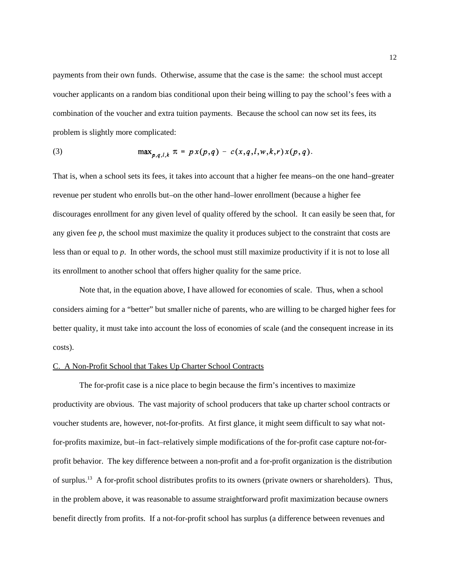payments from their own funds. Otherwise, assume that the case is the same: the school must accept voucher applicants on a random bias conditional upon their being willing to pay the school's fees with a combination of the voucher and extra tuition payments. Because the school can now set its fees, its problem is slightly more complicated:

(3) 
$$
\max_{p,q,l,k} \pi = px(p,q) - c(x,q,l,w,k,r)x(p,q).
$$

That is, when a school sets its fees, it takes into account that a higher fee means–on the one hand–greater revenue per student who enrolls but–on the other hand–lower enrollment (because a higher fee discourages enrollment for any given level of quality offered by the school. It can easily be seen that, for any given fee p, the school must maximize the quality it produces subject to the constraint that costs are less than or equal to *p*. In other words, the school must still maximize productivity if it is not to lose all its enrollment to another school that offers higher quality for the same price.

Note that, in the equation above, I have allowed for economies of scale. Thus, when a school considers aiming for a "better" but smaller niche of parents, who are willing to be charged higher fees for better quality, it must take into account the loss of economies of scale (and the consequent increase in its costs).

#### C. A Non-Profit School that Takes Up Charter School Contracts

The for-profit case is a nice place to begin because the firm's incentives to maximize productivity are obvious. The vast majority of school producers that take up charter school contracts or voucher students are, however, not-for-profits. At first glance, it might seem difficult to say what notfor-profits maximize, but–in fact–relatively simple modifications of the for-profit case capture not-forprofit behavior. The key difference between a non-profit and a for-profit organization is the distribution of surplus.13 A for-profit school distributes profits to its owners (private owners or shareholders). Thus, in the problem above, it was reasonable to assume straightforward profit maximization because owners benefit directly from profits. If a not-for-profit school has surplus (a difference between revenues and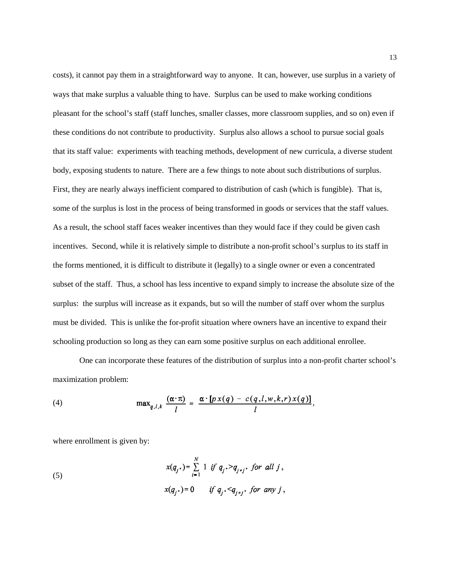costs), it cannot pay them in a straightforward way to anyone. It can, however, use surplus in a variety of ways that make surplus a valuable thing to have. Surplus can be used to make working conditions pleasant for the school's staff (staff lunches, smaller classes, more classroom supplies, and so on) even if these conditions do not contribute to productivity. Surplus also allows a school to pursue social goals that its staff value: experiments with teaching methods, development of new curricula, a diverse student body, exposing students to nature. There are a few things to note about such distributions of surplus. First, they are nearly always inefficient compared to distribution of cash (which is fungible). That is, some of the surplus is lost in the process of being transformed in goods or services that the staff values. As a result, the school staff faces weaker incentives than they would face if they could be given cash incentives. Second, while it is relatively simple to distribute a non-profit school's surplus to its staff in the forms mentioned, it is difficult to distribute it (legally) to a single owner or even a concentrated subset of the staff. Thus, a school has less incentive to expand simply to increase the absolute size of the surplus: the surplus will increase as it expands, but so will the number of staff over whom the surplus must be divided. This is unlike the for-profit situation where owners have an incentive to expand their schooling production so long as they can earn some positive surplus on each additional enrollee.

One can incorporate these features of the distribution of surplus into a non-profit charter school's maximization problem:

(4) 
$$
\max_{q,l,k} \frac{(\alpha \cdot \pi)}{l} = \frac{\alpha \cdot [p \cdot x(q) - c(q,l,w,k,r) \cdot x(q)]}{l},
$$

where enrollment is given by:

(5)  

$$
x(q_{j^*}) = \sum_{i=1}^{N} 1 \text{ if } q_{j^*} > q_{j \neq j^*} \text{ for all } j,
$$

$$
x(q_{j^*}) = 0 \text{ if } q_{j^*} < q_{j \neq j^*} \text{ for any } j,
$$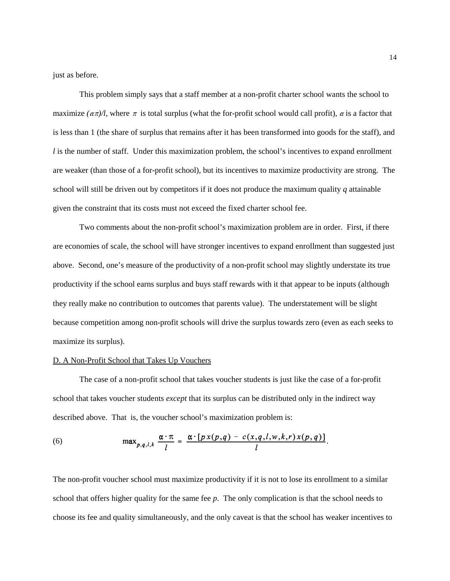just as before.

This problem simply says that a staff member at a non-profit charter school wants the school to maximize  $(\alpha \pi)$ /l, where  $\pi$  is total surplus (what the for-profit school would call profit),  $\alpha$  is a factor that is less than 1 (the share of surplus that remains after it has been transformed into goods for the staff), and *l* is the number of staff. Under this maximization problem, the school's incentives to expand enrollment are weaker (than those of a for-profit school), but its incentives to maximize productivity are strong. The school will still be driven out by competitors if it does not produce the maximum quality *q* attainable given the constraint that its costs must not exceed the fixed charter school fee.

Two comments about the non-profit school's maximization problem are in order. First, if there are economies of scale, the school will have stronger incentives to expand enrollment than suggested just above. Second, one's measure of the productivity of a non-profit school may slightly understate its true productivity if the school earns surplus and buys staff rewards with it that appear to be inputs (although they really make no contribution to outcomes that parents value). The understatement will be slight because competition among non-profit schools will drive the surplus towards zero (even as each seeks to maximize its surplus).

#### D. A Non-Profit School that Takes Up Vouchers

The case of a non-profit school that takes voucher students is just like the case of a for-profit school that takes voucher students *except* that its surplus can be distributed only in the indirect way described above. That is, the voucher school's maximization problem is:

(6) 
$$
\max_{p,q,l,k} \frac{\alpha \cdot \pi}{l} = \frac{\alpha \cdot [p \cdot x(p,q) - c(x,q,l,w,k,r) \cdot x(p,q)]}{l}.
$$

The non-profit voucher school must maximize productivity if it is not to lose its enrollment to a similar school that offers higher quality for the same fee *p*. The only complication is that the school needs to choose its fee and quality simultaneously, and the only caveat is that the school has weaker incentives to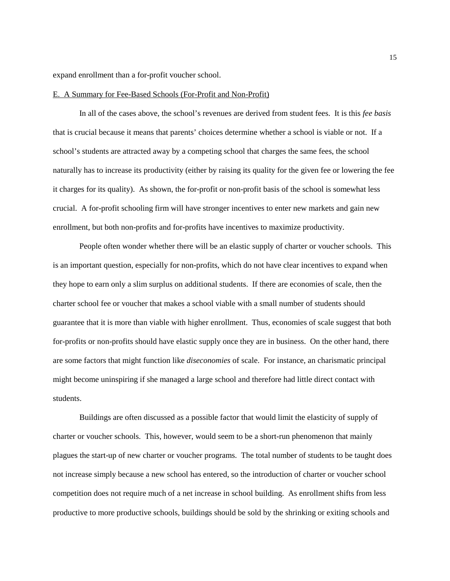expand enrollment than a for-profit voucher school.

#### E. A Summary for Fee-Based Schools (For-Profit and Non-Profit)

In all of the cases above, the school's revenues are derived from student fees. It is this *fee basis* that is crucial because it means that parents' choices determine whether a school is viable or not. If a school's students are attracted away by a competing school that charges the same fees, the school naturally has to increase its productivity (either by raising its quality for the given fee or lowering the fee it charges for its quality). As shown, the for-profit or non-profit basis of the school is somewhat less crucial. A for-profit schooling firm will have stronger incentives to enter new markets and gain new enrollment, but both non-profits and for-profits have incentives to maximize productivity.

People often wonder whether there will be an elastic supply of charter or voucher schools. This is an important question, especially for non-profits, which do not have clear incentives to expand when they hope to earn only a slim surplus on additional students. If there are economies of scale, then the charter school fee or voucher that makes a school viable with a small number of students should guarantee that it is more than viable with higher enrollment. Thus, economies of scale suggest that both for-profits or non-profits should have elastic supply once they are in business. On the other hand, there are some factors that might function like *diseconomies* of scale. For instance, an charismatic principal might become uninspiring if she managed a large school and therefore had little direct contact with students.

Buildings are often discussed as a possible factor that would limit the elasticity of supply of charter or voucher schools. This, however, would seem to be a short-run phenomenon that mainly plagues the start-up of new charter or voucher programs. The total number of students to be taught does not increase simply because a new school has entered, so the introduction of charter or voucher school competition does not require much of a net increase in school building. As enrollment shifts from less productive to more productive schools, buildings should be sold by the shrinking or exiting schools and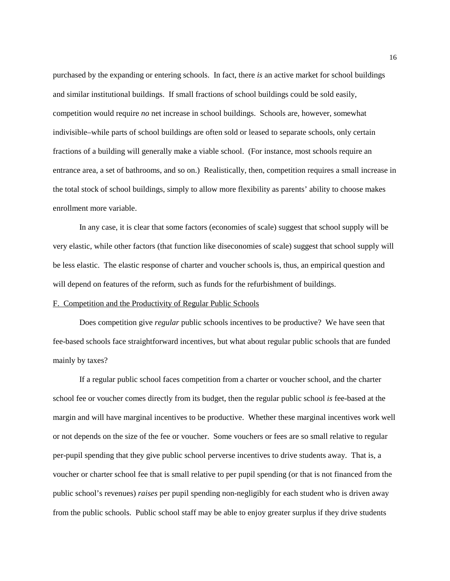purchased by the expanding or entering schools. In fact, there *is* an active market for school buildings and similar institutional buildings. If small fractions of school buildings could be sold easily, competition would require *no* net increase in school buildings. Schools are, however, somewhat indivisible–while parts of school buildings are often sold or leased to separate schools, only certain fractions of a building will generally make a viable school. (For instance, most schools require an entrance area, a set of bathrooms, and so on.) Realistically, then, competition requires a small increase in the total stock of school buildings, simply to allow more flexibility as parents' ability to choose makes enrollment more variable.

In any case, it is clear that some factors (economies of scale) suggest that school supply will be very elastic, while other factors (that function like diseconomies of scale) suggest that school supply will be less elastic. The elastic response of charter and voucher schools is, thus, an empirical question and will depend on features of the reform, such as funds for the refurbishment of buildings.

# F. Competition and the Productivity of Regular Public Schools

Does competition give *regular* public schools incentives to be productive? We have seen that fee-based schools face straightforward incentives, but what about regular public schools that are funded mainly by taxes?

If a regular public school faces competition from a charter or voucher school, and the charter school fee or voucher comes directly from its budget, then the regular public school *is* fee-based at the margin and will have marginal incentives to be productive. Whether these marginal incentives work well or not depends on the size of the fee or voucher. Some vouchers or fees are so small relative to regular per-pupil spending that they give public school perverse incentives to drive students away. That is, a voucher or charter school fee that is small relative to per pupil spending (or that is not financed from the public school's revenues) *raises* per pupil spending non-negligibly for each student who is driven away from the public schools. Public school staff may be able to enjoy greater surplus if they drive students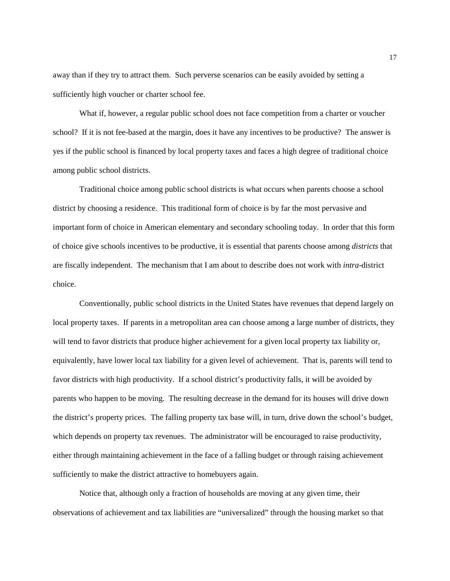away than if they try to attract them. Such perverse scenarios can be easily avoided by setting a sufficiently high voucher or charter school fee.

What if, however, a regular public school does not face competition from a charter or voucher school? If it is not fee-based at the margin, does it have any incentives to be productive? The answer is yes if the public school is financed by local property taxes and faces a high degree of traditional choice among public school districts.

Traditional choice among public school districts is what occurs when parents choose a school district by choosing a residence. This traditional form of choice is by far the most pervasive and important form of choice in American elementary and secondary schooling today. In order that this form of choice give schools incentives to be productive, it is essential that parents choose among *districts* that are fiscally independent. The mechanism that I am about to describe does not work with *intra*-district choice.

Conventionally, public school districts in the United States have revenues that depend largely on local property taxes. If parents in a metropolitan area can choose among a large number of districts, they will tend to favor districts that produce higher achievement for a given local property tax liability or, equivalently, have lower local tax liability for a given level of achievement. That is, parents will tend to favor districts with high productivity. If a school district's productivity falls, it will be avoided by parents who happen to be moving. The resulting decrease in the demand for its houses will drive down the district's property prices. The falling property tax base will, in turn, drive down the school's budget, which depends on property tax revenues. The administrator will be encouraged to raise productivity, either through maintaining achievement in the face of a falling budget or through raising achievement sufficiently to make the district attractive to homebuyers again.

Notice that, although only a fraction of households are moving at any given time, their observations of achievement and tax liabilities are "universalized" through the housing market so that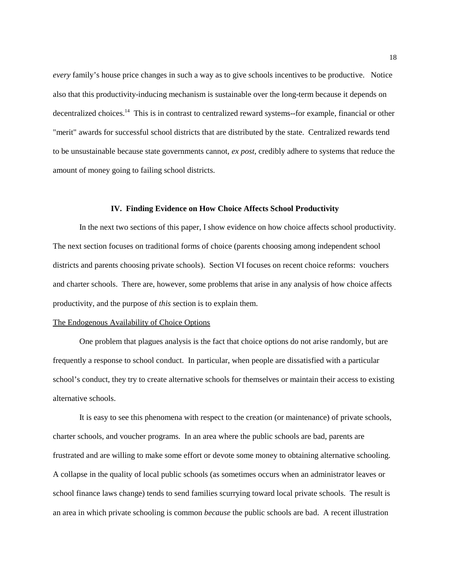*every* family's house price changes in such a way as to give schools incentives to be productive. Notice also that this productivity-inducing mechanism is sustainable over the long-term because it depends on decentralized choices.14 This is in contrast to centralized reward systems--for example, financial or other "merit" awards for successful school districts that are distributed by the state. Centralized rewards tend to be unsustainable because state governments cannot, *ex post*, credibly adhere to systems that reduce the amount of money going to failing school districts.

#### **IV. Finding Evidence on How Choice Affects School Productivity**

In the next two sections of this paper, I show evidence on how choice affects school productivity. The next section focuses on traditional forms of choice (parents choosing among independent school districts and parents choosing private schools). Section VI focuses on recent choice reforms: vouchers and charter schools. There are, however, some problems that arise in any analysis of how choice affects productivity, and the purpose of *this* section is to explain them.

# The Endogenous Availability of Choice Options

One problem that plagues analysis is the fact that choice options do not arise randomly, but are frequently a response to school conduct. In particular, when people are dissatisfied with a particular school's conduct, they try to create alternative schools for themselves or maintain their access to existing alternative schools.

It is easy to see this phenomena with respect to the creation (or maintenance) of private schools, charter schools, and voucher programs. In an area where the public schools are bad, parents are frustrated and are willing to make some effort or devote some money to obtaining alternative schooling. A collapse in the quality of local public schools (as sometimes occurs when an administrator leaves or school finance laws change) tends to send families scurrying toward local private schools. The result is an area in which private schooling is common *because* the public schools are bad. A recent illustration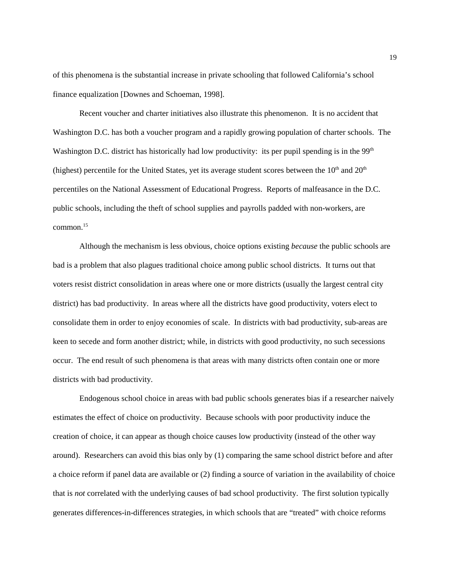of this phenomena is the substantial increase in private schooling that followed California's school finance equalization [Downes and Schoeman, 1998].

Recent voucher and charter initiatives also illustrate this phenomenon. It is no accident that Washington D.C. has both a voucher program and a rapidly growing population of charter schools. The Washington D.C. district has historically had low productivity: its per pupil spending is in the  $99<sup>th</sup>$ (highest) percentile for the United States, yet its average student scores between the  $10<sup>th</sup>$  and  $20<sup>th</sup>$ percentiles on the National Assessment of Educational Progress. Reports of malfeasance in the D.C. public schools, including the theft of school supplies and payrolls padded with non-workers, are common.15

Although the mechanism is less obvious, choice options existing *because* the public schools are bad is a problem that also plagues traditional choice among public school districts. It turns out that voters resist district consolidation in areas where one or more districts (usually the largest central city district) has bad productivity. In areas where all the districts have good productivity, voters elect to consolidate them in order to enjoy economies of scale. In districts with bad productivity, sub-areas are keen to secede and form another district; while, in districts with good productivity, no such secessions occur. The end result of such phenomena is that areas with many districts often contain one or more districts with bad productivity.

Endogenous school choice in areas with bad public schools generates bias if a researcher naively estimates the effect of choice on productivity. Because schools with poor productivity induce the creation of choice, it can appear as though choice causes low productivity (instead of the other way around). Researchers can avoid this bias only by (1) comparing the same school district before and after a choice reform if panel data are available or (2) finding a source of variation in the availability of choice that is *not* correlated with the underlying causes of bad school productivity. The first solution typically generates differences-in-differences strategies, in which schools that are "treated" with choice reforms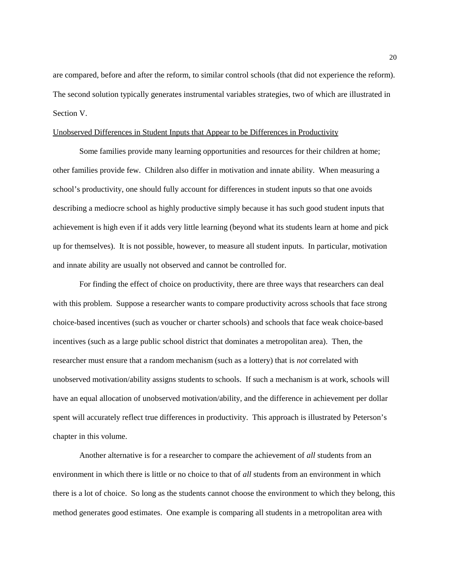are compared, before and after the reform, to similar control schools (that did not experience the reform). The second solution typically generates instrumental variables strategies, two of which are illustrated in Section V.

# Unobserved Differences in Student Inputs that Appear to be Differences in Productivity

Some families provide many learning opportunities and resources for their children at home; other families provide few. Children also differ in motivation and innate ability. When measuring a school's productivity, one should fully account for differences in student inputs so that one avoids describing a mediocre school as highly productive simply because it has such good student inputs that achievement is high even if it adds very little learning (beyond what its students learn at home and pick up for themselves). It is not possible, however, to measure all student inputs. In particular, motivation and innate ability are usually not observed and cannot be controlled for.

For finding the effect of choice on productivity, there are three ways that researchers can deal with this problem. Suppose a researcher wants to compare productivity across schools that face strong choice-based incentives (such as voucher or charter schools) and schools that face weak choice-based incentives (such as a large public school district that dominates a metropolitan area). Then, the researcher must ensure that a random mechanism (such as a lottery) that is *not* correlated with unobserved motivation/ability assigns students to schools. If such a mechanism is at work, schools will have an equal allocation of unobserved motivation/ability, and the difference in achievement per dollar spent will accurately reflect true differences in productivity. This approach is illustrated by Peterson's chapter in this volume.

Another alternative is for a researcher to compare the achievement of *all* students from an environment in which there is little or no choice to that of *all* students from an environment in which there is a lot of choice. So long as the students cannot choose the environment to which they belong, this method generates good estimates. One example is comparing all students in a metropolitan area with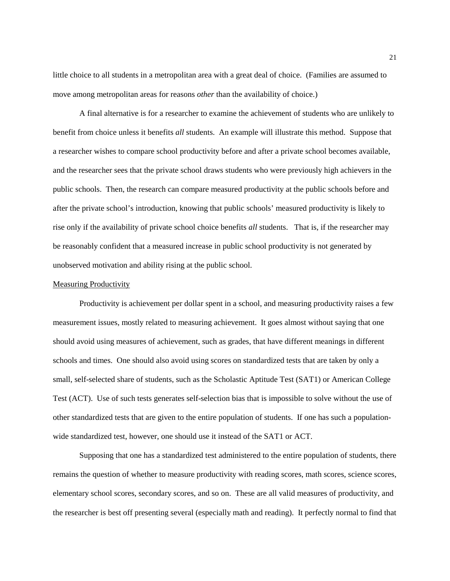little choice to all students in a metropolitan area with a great deal of choice. (Families are assumed to move among metropolitan areas for reasons *other* than the availability of choice.)

A final alternative is for a researcher to examine the achievement of students who are unlikely to benefit from choice unless it benefits *all* students. An example will illustrate this method. Suppose that a researcher wishes to compare school productivity before and after a private school becomes available, and the researcher sees that the private school draws students who were previously high achievers in the public schools. Then, the research can compare measured productivity at the public schools before and after the private school's introduction, knowing that public schools' measured productivity is likely to rise only if the availability of private school choice benefits *all* students. That is, if the researcher may be reasonably confident that a measured increase in public school productivity is not generated by unobserved motivation and ability rising at the public school.

## Measuring Productivity

Productivity is achievement per dollar spent in a school, and measuring productivity raises a few measurement issues, mostly related to measuring achievement. It goes almost without saying that one should avoid using measures of achievement, such as grades, that have different meanings in different schools and times. One should also avoid using scores on standardized tests that are taken by only a small, self-selected share of students, such as the Scholastic Aptitude Test (SAT1) or American College Test (ACT). Use of such tests generates self-selection bias that is impossible to solve without the use of other standardized tests that are given to the entire population of students. If one has such a populationwide standardized test, however, one should use it instead of the SAT1 or ACT.

Supposing that one has a standardized test administered to the entire population of students, there remains the question of whether to measure productivity with reading scores, math scores, science scores, elementary school scores, secondary scores, and so on. These are all valid measures of productivity, and the researcher is best off presenting several (especially math and reading). It perfectly normal to find that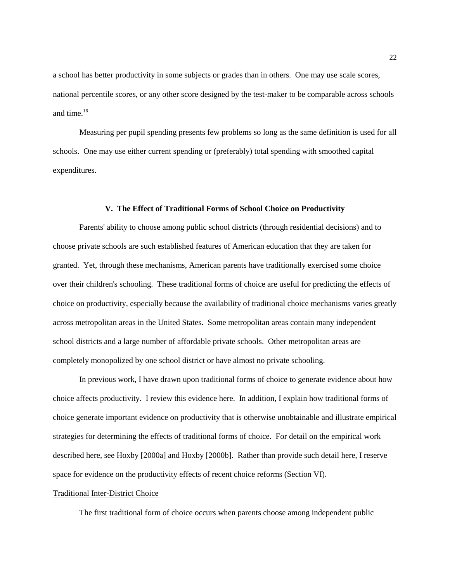a school has better productivity in some subjects or grades than in others. One may use scale scores, national percentile scores, or any other score designed by the test-maker to be comparable across schools and time.16

Measuring per pupil spending presents few problems so long as the same definition is used for all schools. One may use either current spending or (preferably) total spending with smoothed capital expenditures.

## **V. The Effect of Traditional Forms of School Choice on Productivity**

Parents' ability to choose among public school districts (through residential decisions) and to choose private schools are such established features of American education that they are taken for granted. Yet, through these mechanisms, American parents have traditionally exercised some choice over their children's schooling. These traditional forms of choice are useful for predicting the effects of choice on productivity, especially because the availability of traditional choice mechanisms varies greatly across metropolitan areas in the United States. Some metropolitan areas contain many independent school districts and a large number of affordable private schools. Other metropolitan areas are completely monopolized by one school district or have almost no private schooling.

In previous work, I have drawn upon traditional forms of choice to generate evidence about how choice affects productivity. I review this evidence here. In addition, I explain how traditional forms of choice generate important evidence on productivity that is otherwise unobtainable and illustrate empirical strategies for determining the effects of traditional forms of choice. For detail on the empirical work described here, see Hoxby [2000a] and Hoxby [2000b]. Rather than provide such detail here, I reserve space for evidence on the productivity effects of recent choice reforms (Section VI).

#### Traditional Inter-District Choice

The first traditional form of choice occurs when parents choose among independent public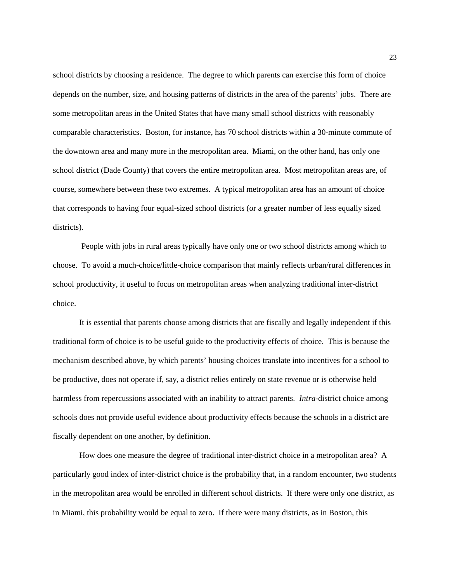school districts by choosing a residence. The degree to which parents can exercise this form of choice depends on the number, size, and housing patterns of districts in the area of the parents' jobs. There are some metropolitan areas in the United States that have many small school districts with reasonably comparable characteristics. Boston, for instance, has 70 school districts within a 30-minute commute of the downtown area and many more in the metropolitan area. Miami, on the other hand, has only one school district (Dade County) that covers the entire metropolitan area. Most metropolitan areas are, of course, somewhere between these two extremes. A typical metropolitan area has an amount of choice that corresponds to having four equal-sized school districts (or a greater number of less equally sized districts).

 People with jobs in rural areas typically have only one or two school districts among which to choose. To avoid a much-choice/little-choice comparison that mainly reflects urban/rural differences in school productivity, it useful to focus on metropolitan areas when analyzing traditional inter-district choice.

It is essential that parents choose among districts that are fiscally and legally independent if this traditional form of choice is to be useful guide to the productivity effects of choice. This is because the mechanism described above, by which parents' housing choices translate into incentives for a school to be productive, does not operate if, say, a district relies entirely on state revenue or is otherwise held harmless from repercussions associated with an inability to attract parents. *Intra*-district choice among schools does not provide useful evidence about productivity effects because the schools in a district are fiscally dependent on one another, by definition.

How does one measure the degree of traditional inter-district choice in a metropolitan area? A particularly good index of inter-district choice is the probability that, in a random encounter, two students in the metropolitan area would be enrolled in different school districts. If there were only one district, as in Miami, this probability would be equal to zero. If there were many districts, as in Boston, this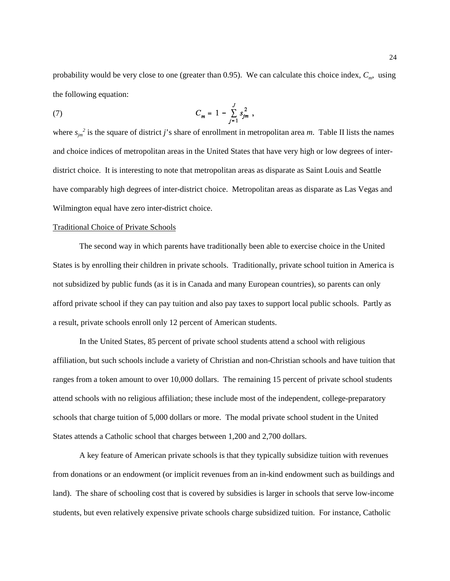probability would be very close to one (greater than 0.95). We can calculate this choice index,  $C_m$ , using the following equation:

(7) 
$$
C_m = 1 - \sum_{j=1}^{J} s_{jm}^2,
$$

where  $s_{jm}^2$  is the square of district *j*'s share of enrollment in metropolitan area *m*. Table II lists the names and choice indices of metropolitan areas in the United States that have very high or low degrees of interdistrict choice. It is interesting to note that metropolitan areas as disparate as Saint Louis and Seattle have comparably high degrees of inter-district choice. Metropolitan areas as disparate as Las Vegas and Wilmington equal have zero inter-district choice.

# Traditional Choice of Private Schools

The second way in which parents have traditionally been able to exercise choice in the United States is by enrolling their children in private schools. Traditionally, private school tuition in America is not subsidized by public funds (as it is in Canada and many European countries), so parents can only afford private school if they can pay tuition and also pay taxes to support local public schools. Partly as a result, private schools enroll only 12 percent of American students.

In the United States, 85 percent of private school students attend a school with religious affiliation, but such schools include a variety of Christian and non-Christian schools and have tuition that ranges from a token amount to over 10,000 dollars. The remaining 15 percent of private school students attend schools with no religious affiliation; these include most of the independent, college-preparatory schools that charge tuition of 5,000 dollars or more. The modal private school student in the United States attends a Catholic school that charges between 1,200 and 2,700 dollars.

A key feature of American private schools is that they typically subsidize tuition with revenues from donations or an endowment (or implicit revenues from an in-kind endowment such as buildings and land). The share of schooling cost that is covered by subsidies is larger in schools that serve low-income students, but even relatively expensive private schools charge subsidized tuition. For instance, Catholic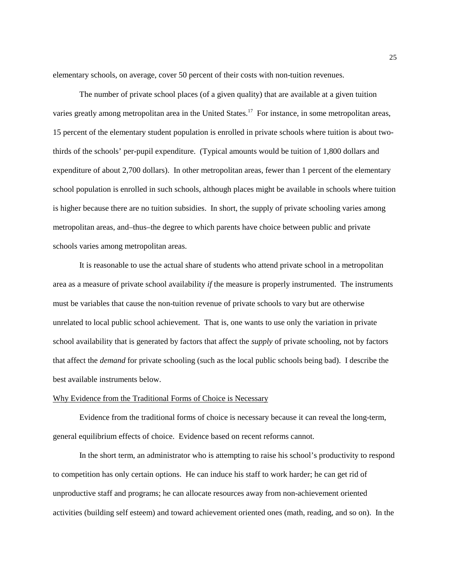elementary schools, on average, cover 50 percent of their costs with non-tuition revenues.

The number of private school places (of a given quality) that are available at a given tuition varies greatly among metropolitan area in the United States.<sup>17</sup> For instance, in some metropolitan areas, 15 percent of the elementary student population is enrolled in private schools where tuition is about twothirds of the schools' per-pupil expenditure. (Typical amounts would be tuition of 1,800 dollars and expenditure of about 2,700 dollars). In other metropolitan areas, fewer than 1 percent of the elementary school population is enrolled in such schools, although places might be available in schools where tuition is higher because there are no tuition subsidies. In short, the supply of private schooling varies among metropolitan areas, and–thus–the degree to which parents have choice between public and private schools varies among metropolitan areas.

It is reasonable to use the actual share of students who attend private school in a metropolitan area as a measure of private school availability *if* the measure is properly instrumented. The instruments must be variables that cause the non-tuition revenue of private schools to vary but are otherwise unrelated to local public school achievement. That is, one wants to use only the variation in private school availability that is generated by factors that affect the *supply* of private schooling, not by factors that affect the *demand* for private schooling (such as the local public schools being bad). I describe the best available instruments below.

## Why Evidence from the Traditional Forms of Choice is Necessary

Evidence from the traditional forms of choice is necessary because it can reveal the long-term, general equilibrium effects of choice. Evidence based on recent reforms cannot.

In the short term, an administrator who is attempting to raise his school's productivity to respond to competition has only certain options. He can induce his staff to work harder; he can get rid of unproductive staff and programs; he can allocate resources away from non-achievement oriented activities (building self esteem) and toward achievement oriented ones (math, reading, and so on). In the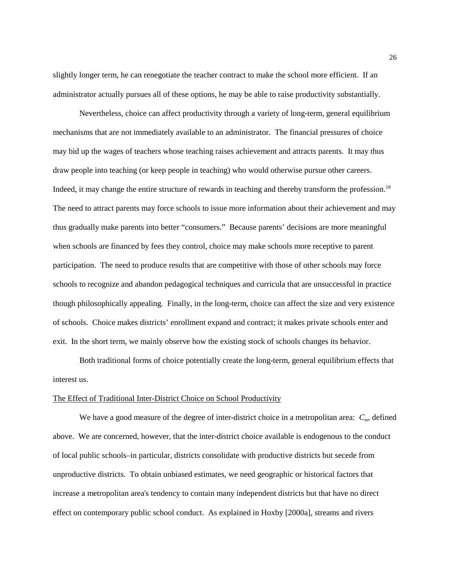slightly longer term, he can renegotiate the teacher contract to make the school more efficient. If an administrator actually pursues all of these options, he may be able to raise productivity substantially.

Nevertheless, choice can affect productivity through a variety of long-term, general equilibrium mechanisms that are not immediately available to an administrator. The financial pressures of choice may bid up the wages of teachers whose teaching raises achievement and attracts parents. It may thus draw people into teaching (or keep people in teaching) who would otherwise pursue other careers. Indeed, it may change the entire structure of rewards in teaching and thereby transform the profession.<sup>18</sup> The need to attract parents may force schools to issue more information about their achievement and may thus gradually make parents into better "consumers." Because parents' decisions are more meaningful when schools are financed by fees they control, choice may make schools more receptive to parent participation. The need to produce results that are competitive with those of other schools may force schools to recognize and abandon pedagogical techniques and curricula that are unsuccessful in practice though philosophically appealing. Finally, in the long-term, choice can affect the size and very existence of schools. Choice makes districts' enrollment expand and contract; it makes private schools enter and exit. In the short term, we mainly observe how the existing stock of schools changes its behavior.

Both traditional forms of choice potentially create the long-term, general equilibrium effects that interest us.

## The Effect of Traditional Inter-District Choice on School Productivity

We have a good measure of the degree of inter-district choice in a metropolitan area:  $C<sub>m</sub>$ , defined above. We are concerned, however, that the inter-district choice available is endogenous to the conduct of local public schools–in particular, districts consolidate with productive districts but secede from unproductive districts. To obtain unbiased estimates, we need geographic or historical factors that increase a metropolitan area's tendency to contain many independent districts but that have no direct effect on contemporary public school conduct. As explained in Hoxby [2000a], streams and rivers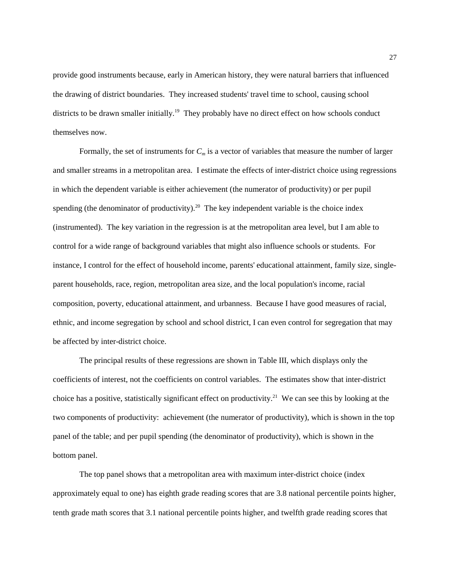provide good instruments because, early in American history, they were natural barriers that influenced the drawing of district boundaries. They increased students' travel time to school, causing school districts to be drawn smaller initially.<sup>19</sup> They probably have no direct effect on how schools conduct themselves now.

Formally, the set of instruments for  $C_m$  is a vector of variables that measure the number of larger and smaller streams in a metropolitan area. I estimate the effects of inter-district choice using regressions in which the dependent variable is either achievement (the numerator of productivity) or per pupil spending (the denominator of productivity).<sup>20</sup> The key independent variable is the choice index (instrumented). The key variation in the regression is at the metropolitan area level, but I am able to control for a wide range of background variables that might also influence schools or students. For instance, I control for the effect of household income, parents' educational attainment, family size, singleparent households, race, region, metropolitan area size, and the local population's income, racial composition, poverty, educational attainment, and urbanness. Because I have good measures of racial, ethnic, and income segregation by school and school district, I can even control for segregation that may be affected by inter-district choice.

The principal results of these regressions are shown in Table III, which displays only the coefficients of interest, not the coefficients on control variables. The estimates show that inter-district choice has a positive, statistically significant effect on productivity.<sup>21</sup> We can see this by looking at the two components of productivity: achievement (the numerator of productivity), which is shown in the top panel of the table; and per pupil spending (the denominator of productivity), which is shown in the bottom panel.

The top panel shows that a metropolitan area with maximum inter-district choice (index approximately equal to one) has eighth grade reading scores that are 3.8 national percentile points higher, tenth grade math scores that 3.1 national percentile points higher, and twelfth grade reading scores that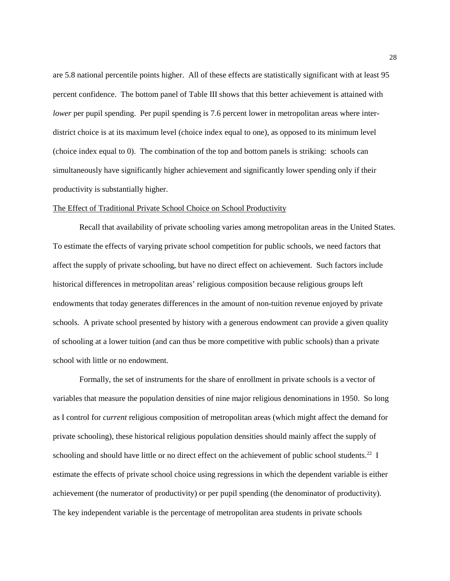are 5.8 national percentile points higher. All of these effects are statistically significant with at least 95 percent confidence. The bottom panel of Table III shows that this better achievement is attained with *lower* per pupil spending. Per pupil spending is 7.6 percent lower in metropolitan areas where interdistrict choice is at its maximum level (choice index equal to one), as opposed to its minimum level (choice index equal to 0). The combination of the top and bottom panels is striking: schools can simultaneously have significantly higher achievement and significantly lower spending only if their productivity is substantially higher.

#### The Effect of Traditional Private School Choice on School Productivity

Recall that availability of private schooling varies among metropolitan areas in the United States. To estimate the effects of varying private school competition for public schools, we need factors that affect the supply of private schooling, but have no direct effect on achievement. Such factors include historical differences in metropolitan areas' religious composition because religious groups left endowments that today generates differences in the amount of non-tuition revenue enjoyed by private schools. A private school presented by history with a generous endowment can provide a given quality of schooling at a lower tuition (and can thus be more competitive with public schools) than a private school with little or no endowment.

Formally, the set of instruments for the share of enrollment in private schools is a vector of variables that measure the population densities of nine major religious denominations in 1950. So long as I control for *current* religious composition of metropolitan areas (which might affect the demand for private schooling), these historical religious population densities should mainly affect the supply of schooling and should have little or no direct effect on the achievement of public school students.<sup>22</sup> I estimate the effects of private school choice using regressions in which the dependent variable is either achievement (the numerator of productivity) or per pupil spending (the denominator of productivity). The key independent variable is the percentage of metropolitan area students in private schools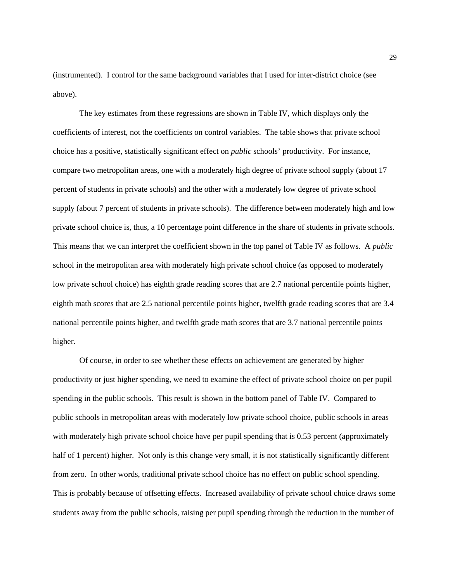(instrumented). I control for the same background variables that I used for inter-district choice (see above).

The key estimates from these regressions are shown in Table IV, which displays only the coefficients of interest, not the coefficients on control variables. The table shows that private school choice has a positive, statistically significant effect on *public* schools' productivity. For instance, compare two metropolitan areas, one with a moderately high degree of private school supply (about 17 percent of students in private schools) and the other with a moderately low degree of private school supply (about 7 percent of students in private schools). The difference between moderately high and low private school choice is, thus, a 10 percentage point difference in the share of students in private schools. This means that we can interpret the coefficient shown in the top panel of Table IV as follows. A *public* school in the metropolitan area with moderately high private school choice (as opposed to moderately low private school choice) has eighth grade reading scores that are 2.7 national percentile points higher, eighth math scores that are 2.5 national percentile points higher, twelfth grade reading scores that are 3.4 national percentile points higher, and twelfth grade math scores that are 3.7 national percentile points higher.

Of course, in order to see whether these effects on achievement are generated by higher productivity or just higher spending, we need to examine the effect of private school choice on per pupil spending in the public schools. This result is shown in the bottom panel of Table IV. Compared to public schools in metropolitan areas with moderately low private school choice, public schools in areas with moderately high private school choice have per pupil spending that is 0.53 percent (approximately half of 1 percent) higher. Not only is this change very small, it is not statistically significantly different from zero. In other words, traditional private school choice has no effect on public school spending. This is probably because of offsetting effects. Increased availability of private school choice draws some students away from the public schools, raising per pupil spending through the reduction in the number of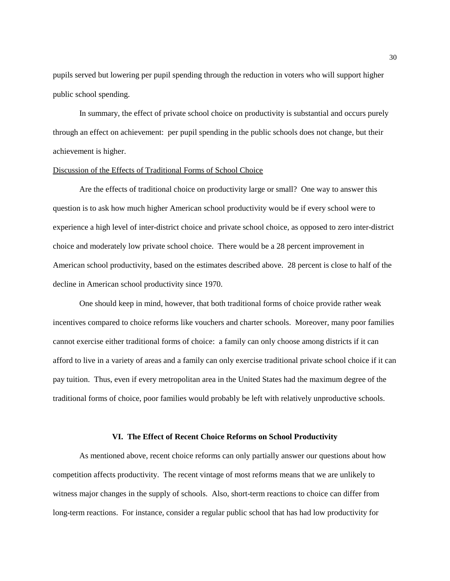pupils served but lowering per pupil spending through the reduction in voters who will support higher public school spending.

In summary, the effect of private school choice on productivity is substantial and occurs purely through an effect on achievement: per pupil spending in the public schools does not change, but their achievement is higher.

#### Discussion of the Effects of Traditional Forms of School Choice

Are the effects of traditional choice on productivity large or small? One way to answer this question is to ask how much higher American school productivity would be if every school were to experience a high level of inter-district choice and private school choice, as opposed to zero inter-district choice and moderately low private school choice. There would be a 28 percent improvement in American school productivity, based on the estimates described above. 28 percent is close to half of the decline in American school productivity since 1970.

One should keep in mind, however, that both traditional forms of choice provide rather weak incentives compared to choice reforms like vouchers and charter schools. Moreover, many poor families cannot exercise either traditional forms of choice: a family can only choose among districts if it can afford to live in a variety of areas and a family can only exercise traditional private school choice if it can pay tuition. Thus, even if every metropolitan area in the United States had the maximum degree of the traditional forms of choice, poor families would probably be left with relatively unproductive schools.

#### **VI. The Effect of Recent Choice Reforms on School Productivity**

As mentioned above, recent choice reforms can only partially answer our questions about how competition affects productivity. The recent vintage of most reforms means that we are unlikely to witness major changes in the supply of schools. Also, short-term reactions to choice can differ from long-term reactions. For instance, consider a regular public school that has had low productivity for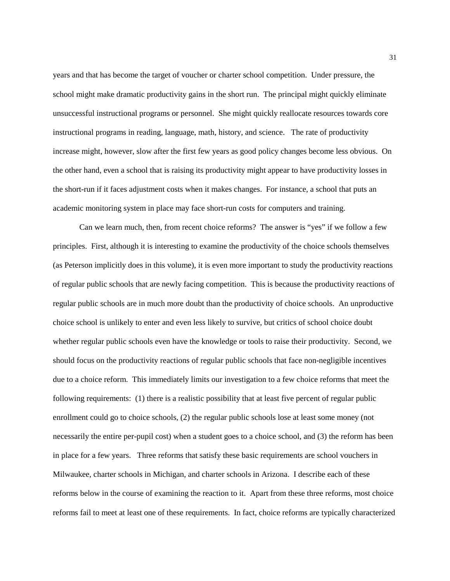years and that has become the target of voucher or charter school competition. Under pressure, the school might make dramatic productivity gains in the short run. The principal might quickly eliminate unsuccessful instructional programs or personnel. She might quickly reallocate resources towards core instructional programs in reading, language, math, history, and science. The rate of productivity increase might, however, slow after the first few years as good policy changes become less obvious. On the other hand, even a school that is raising its productivity might appear to have productivity losses in the short-run if it faces adjustment costs when it makes changes. For instance, a school that puts an academic monitoring system in place may face short-run costs for computers and training.

Can we learn much, then, from recent choice reforms? The answer is "yes" if we follow a few principles. First, although it is interesting to examine the productivity of the choice schools themselves (as Peterson implicitly does in this volume), it is even more important to study the productivity reactions of regular public schools that are newly facing competition. This is because the productivity reactions of regular public schools are in much more doubt than the productivity of choice schools. An unproductive choice school is unlikely to enter and even less likely to survive, but critics of school choice doubt whether regular public schools even have the knowledge or tools to raise their productivity. Second, we should focus on the productivity reactions of regular public schools that face non-negligible incentives due to a choice reform. This immediately limits our investigation to a few choice reforms that meet the following requirements: (1) there is a realistic possibility that at least five percent of regular public enrollment could go to choice schools, (2) the regular public schools lose at least some money (not necessarily the entire per-pupil cost) when a student goes to a choice school, and (3) the reform has been in place for a few years. Three reforms that satisfy these basic requirements are school vouchers in Milwaukee, charter schools in Michigan, and charter schools in Arizona. I describe each of these reforms below in the course of examining the reaction to it. Apart from these three reforms, most choice reforms fail to meet at least one of these requirements. In fact, choice reforms are typically characterized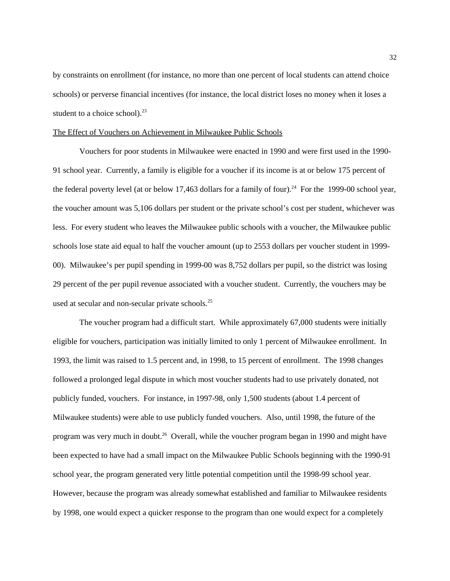by constraints on enrollment (for instance, no more than one percent of local students can attend choice schools) or perverse financial incentives (for instance, the local district loses no money when it loses a student to a choice school). $^{23}$ 

#### The Effect of Vouchers on Achievement in Milwaukee Public Schools

Vouchers for poor students in Milwaukee were enacted in 1990 and were first used in the 1990- 91 school year. Currently, a family is eligible for a voucher if its income is at or below 175 percent of the federal poverty level (at or below 17,463 dollars for a family of four).<sup>24</sup> For the 1999-00 school year, the voucher amount was 5,106 dollars per student or the private school's cost per student, whichever was less. For every student who leaves the Milwaukee public schools with a voucher, the Milwaukee public schools lose state aid equal to half the voucher amount (up to 2553 dollars per voucher student in 1999- 00). Milwaukee's per pupil spending in 1999-00 was 8,752 dollars per pupil, so the district was losing 29 percent of the per pupil revenue associated with a voucher student. Currently, the vouchers may be used at secular and non-secular private schools.<sup>25</sup>

The voucher program had a difficult start. While approximately 67,000 students were initially eligible for vouchers, participation was initially limited to only 1 percent of Milwaukee enrollment. In 1993, the limit was raised to 1.5 percent and, in 1998, to 15 percent of enrollment. The 1998 changes followed a prolonged legal dispute in which most voucher students had to use privately donated, not publicly funded, vouchers. For instance, in 1997-98, only 1,500 students (about 1.4 percent of Milwaukee students) were able to use publicly funded vouchers. Also, until 1998, the future of the program was very much in doubt.26 Overall, while the voucher program began in 1990 and might have been expected to have had a small impact on the Milwaukee Public Schools beginning with the 1990-91 school year, the program generated very little potential competition until the 1998-99 school year. However, because the program was already somewhat established and familiar to Milwaukee residents by 1998, one would expect a quicker response to the program than one would expect for a completely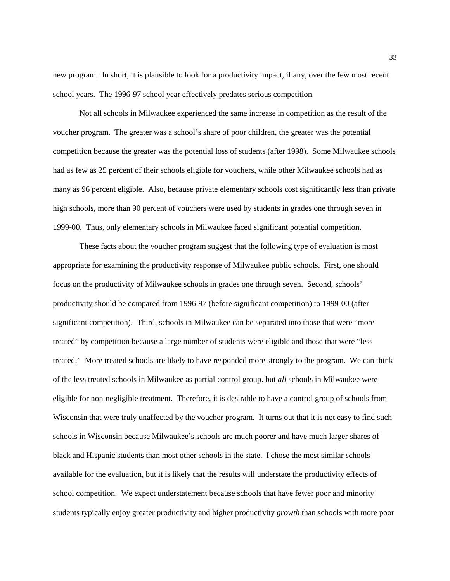new program. In short, it is plausible to look for a productivity impact, if any, over the few most recent school years. The 1996-97 school year effectively predates serious competition.

Not all schools in Milwaukee experienced the same increase in competition as the result of the voucher program. The greater was a school's share of poor children, the greater was the potential competition because the greater was the potential loss of students (after 1998). Some Milwaukee schools had as few as 25 percent of their schools eligible for vouchers, while other Milwaukee schools had as many as 96 percent eligible. Also, because private elementary schools cost significantly less than private high schools, more than 90 percent of vouchers were used by students in grades one through seven in 1999-00. Thus, only elementary schools in Milwaukee faced significant potential competition.

These facts about the voucher program suggest that the following type of evaluation is most appropriate for examining the productivity response of Milwaukee public schools. First, one should focus on the productivity of Milwaukee schools in grades one through seven. Second, schools' productivity should be compared from 1996-97 (before significant competition) to 1999-00 (after significant competition). Third, schools in Milwaukee can be separated into those that were "more treated" by competition because a large number of students were eligible and those that were "less treated." More treated schools are likely to have responded more strongly to the program. We can think of the less treated schools in Milwaukee as partial control group. but *all* schools in Milwaukee were eligible for non-negligible treatment. Therefore, it is desirable to have a control group of schools from Wisconsin that were truly unaffected by the voucher program. It turns out that it is not easy to find such schools in Wisconsin because Milwaukee's schools are much poorer and have much larger shares of black and Hispanic students than most other schools in the state. I chose the most similar schools available for the evaluation, but it is likely that the results will understate the productivity effects of school competition. We expect understatement because schools that have fewer poor and minority students typically enjoy greater productivity and higher productivity *growth* than schools with more poor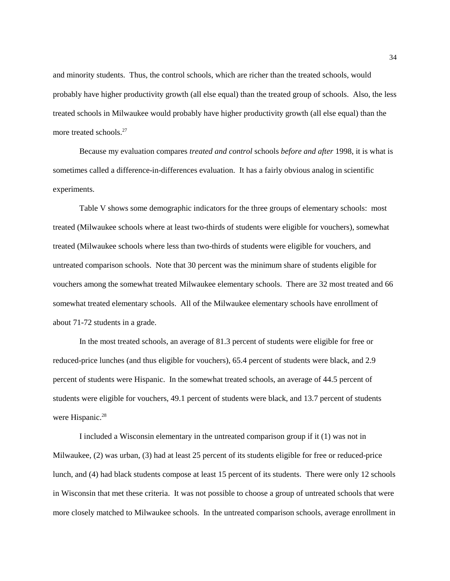and minority students. Thus, the control schools, which are richer than the treated schools, would probably have higher productivity growth (all else equal) than the treated group of schools. Also, the less treated schools in Milwaukee would probably have higher productivity growth (all else equal) than the more treated schools.<sup>27</sup>

Because my evaluation compares *treated and control* schools *before and after* 1998, it is what is sometimes called a difference-in-differences evaluation. It has a fairly obvious analog in scientific experiments.

Table V shows some demographic indicators for the three groups of elementary schools: most treated (Milwaukee schools where at least two-thirds of students were eligible for vouchers), somewhat treated (Milwaukee schools where less than two-thirds of students were eligible for vouchers, and untreated comparison schools. Note that 30 percent was the minimum share of students eligible for vouchers among the somewhat treated Milwaukee elementary schools. There are 32 most treated and 66 somewhat treated elementary schools. All of the Milwaukee elementary schools have enrollment of about 71-72 students in a grade.

In the most treated schools, an average of 81.3 percent of students were eligible for free or reduced-price lunches (and thus eligible for vouchers), 65.4 percent of students were black, and 2.9 percent of students were Hispanic. In the somewhat treated schools, an average of 44.5 percent of students were eligible for vouchers, 49.1 percent of students were black, and 13.7 percent of students were Hispanic.<sup>28</sup>

I included a Wisconsin elementary in the untreated comparison group if it (1) was not in Milwaukee, (2) was urban, (3) had at least 25 percent of its students eligible for free or reduced-price lunch, and (4) had black students compose at least 15 percent of its students. There were only 12 schools in Wisconsin that met these criteria. It was not possible to choose a group of untreated schools that were more closely matched to Milwaukee schools. In the untreated comparison schools, average enrollment in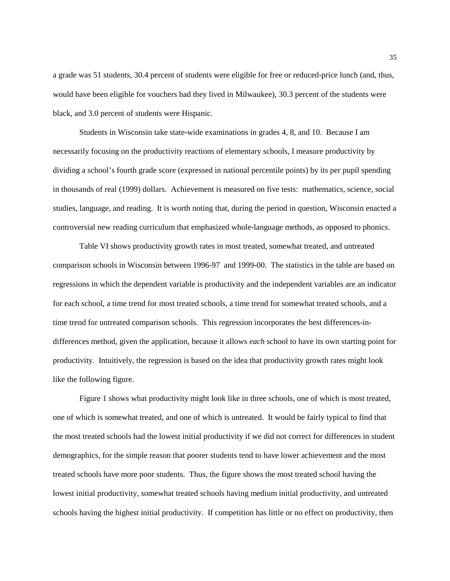a grade was 51 students, 30.4 percent of students were eligible for free or reduced-price lunch (and, thus, would have been eligible for vouchers had they lived in Milwaukee), 30.3 percent of the students were black, and 3.0 percent of students were Hispanic.

Students in Wisconsin take state-wide examinations in grades 4, 8, and 10. Because I am necessarily focusing on the productivity reactions of elementary schools, I measure productivity by dividing a school's fourth grade score (expressed in national percentile points) by its per pupil spending in thousands of real (1999) dollars. Achievement is measured on five tests: mathematics, science, social studies, language, and reading. It is worth noting that, during the period in question, Wisconsin enacted a controversial new reading curriculum that emphasized whole-language methods, as opposed to phonics.

Table VI shows productivity growth rates in most treated, somewhat treated, and untreated comparison schools in Wisconsin between 1996-97 and 1999-00. The statistics in the table are based on regressions in which the dependent variable is productivity and the independent variables are an indicator for each school, a time trend for most treated schools, a time trend for somewhat treated schools, and a time trend for untreated comparison schools. This regression incorporates the best differences-indifferences method, given the application, because it allows *each* school to have its own starting point for productivity. Intuitively, the regression is based on the idea that productivity growth rates might look like the following figure.

Figure 1 shows what productivity might look like in three schools, one of which is most treated, one of which is somewhat treated, and one of which is untreated. It would be fairly typical to find that the most treated schools had the lowest initial productivity if we did not correct for differences in student demographics, for the simple reason that poorer students tend to have lower achievement and the most treated schools have more poor students. Thus, the figure shows the most treated school having the lowest initial productivity, somewhat treated schools having medium initial productivity, and untreated schools having the highest initial productivity. If competition has little or no effect on productivity, then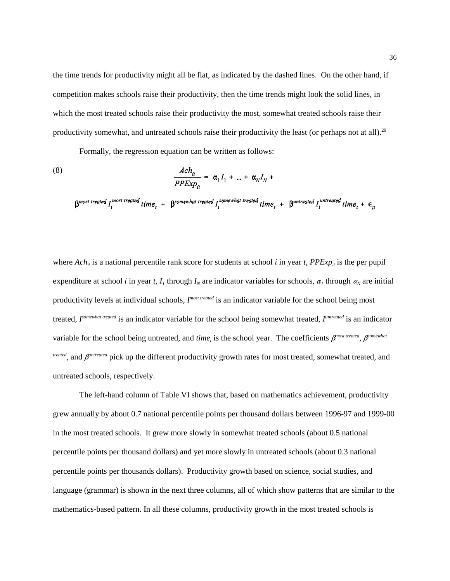the time trends for productivity might all be flat, as indicated by the dashed lines. On the other hand, if competition makes schools raise their productivity, then the time trends might look the solid lines, in which the most treated schools raise their productivity the most, somewhat treated schools raise their productivity somewhat, and untreated schools raise their productivity the least (or perhaps not at all).<sup>29</sup>

Formally, the regression equation can be written as follows:

(8)  
\n
$$
\frac{Ach_{it}}{PPExp_{it}} = \alpha_1 I_1 + ... + \alpha_N I_N +
$$
\n
$$
\beta^{most \ treated \ I_i^{most \ treated \ time_t} + \beta^{somewhat \ treated \ I_i^{somewhat \ treated \ time_t} + \beta^{untreated \ I_i^{untreated} \ time_t} + \epsilon_i}
$$

where  $Ach_i$  is a national percentile rank score for students at school *i* in year *t*,  $PPExp_i$  is the per pupil expenditure at school *i* in year *t*,  $I_1$  through  $I_N$  are indicator variables for schools,  $\alpha_1$  through  $\alpha_N$  are initial productivity levels at individual schools, *I most treated* is an indicator variable for the school being most treated, *I somewhat treated* is an indicator variable for the school being somewhat treated, *I untreated* is an indicator variable for the school being untreated, and  $time_t$  is the school year. The coefficients  $\beta^{most \textit{treated}}$ ,  $\beta^{somewhat}$ *treated*, and  $\beta^{untreated}$  pick up the different productivity growth rates for most treated, somewhat treated, and untreated schools, respectively.

The left-hand column of Table VI shows that, based on mathematics achievement, productivity grew annually by about 0.7 national percentile points per thousand dollars between 1996-97 and 1999-00 in the most treated schools. It grew more slowly in somewhat treated schools (about 0.5 national percentile points per thousand dollars) and yet more slowly in untreated schools (about 0.3 national percentile points per thousands dollars). Productivity growth based on science, social studies, and language (grammar) is shown in the next three columns, all of which show patterns that are similar to the mathematics-based pattern. In all these columns, productivity growth in the most treated schools is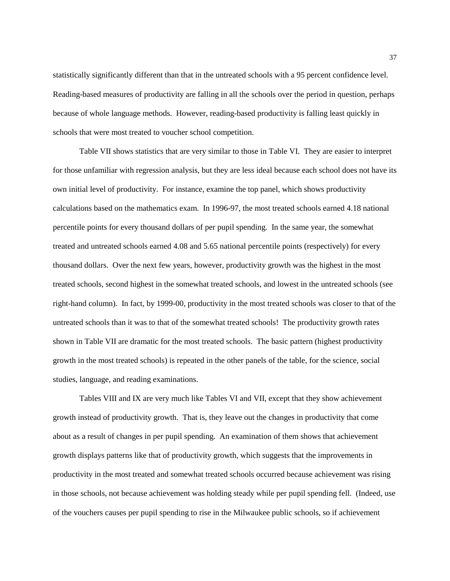statistically significantly different than that in the untreated schools with a 95 percent confidence level. Reading-based measures of productivity are falling in all the schools over the period in question, perhaps because of whole language methods. However, reading-based productivity is falling least quickly in schools that were most treated to voucher school competition.

Table VII shows statistics that are very similar to those in Table VI. They are easier to interpret for those unfamiliar with regression analysis, but they are less ideal because each school does not have its own initial level of productivity. For instance, examine the top panel, which shows productivity calculations based on the mathematics exam. In 1996-97, the most treated schools earned 4.18 national percentile points for every thousand dollars of per pupil spending. In the same year, the somewhat treated and untreated schools earned 4.08 and 5.65 national percentile points (respectively) for every thousand dollars. Over the next few years, however, productivity growth was the highest in the most treated schools, second highest in the somewhat treated schools, and lowest in the untreated schools (see right-hand column). In fact, by 1999-00, productivity in the most treated schools was closer to that of the untreated schools than it was to that of the somewhat treated schools! The productivity growth rates shown in Table VII are dramatic for the most treated schools. The basic pattern (highest productivity growth in the most treated schools) is repeated in the other panels of the table, for the science, social studies, language, and reading examinations.

Tables VIII and IX are very much like Tables VI and VII, except that they show achievement growth instead of productivity growth. That is, they leave out the changes in productivity that come about as a result of changes in per pupil spending. An examination of them shows that achievement growth displays patterns like that of productivity growth, which suggests that the improvements in productivity in the most treated and somewhat treated schools occurred because achievement was rising in those schools, not because achievement was holding steady while per pupil spending fell. (Indeed, use of the vouchers causes per pupil spending to rise in the Milwaukee public schools, so if achievement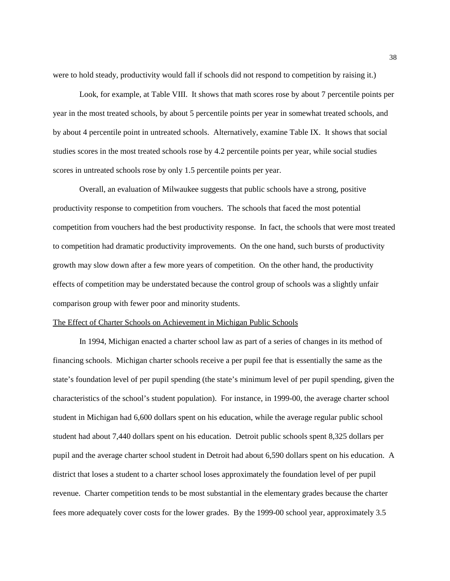were to hold steady, productivity would fall if schools did not respond to competition by raising it.)

Look, for example, at Table VIII. It shows that math scores rose by about 7 percentile points per year in the most treated schools, by about 5 percentile points per year in somewhat treated schools, and by about 4 percentile point in untreated schools. Alternatively, examine Table IX. It shows that social studies scores in the most treated schools rose by 4.2 percentile points per year, while social studies scores in untreated schools rose by only 1.5 percentile points per year.

Overall, an evaluation of Milwaukee suggests that public schools have a strong, positive productivity response to competition from vouchers. The schools that faced the most potential competition from vouchers had the best productivity response. In fact, the schools that were most treated to competition had dramatic productivity improvements. On the one hand, such bursts of productivity growth may slow down after a few more years of competition. On the other hand, the productivity effects of competition may be understated because the control group of schools was a slightly unfair comparison group with fewer poor and minority students.

### The Effect of Charter Schools on Achievement in Michigan Public Schools

In 1994, Michigan enacted a charter school law as part of a series of changes in its method of financing schools. Michigan charter schools receive a per pupil fee that is essentially the same as the state's foundation level of per pupil spending (the state's minimum level of per pupil spending, given the characteristics of the school's student population). For instance, in 1999-00, the average charter school student in Michigan had 6,600 dollars spent on his education, while the average regular public school student had about 7,440 dollars spent on his education. Detroit public schools spent 8,325 dollars per pupil and the average charter school student in Detroit had about 6,590 dollars spent on his education. A district that loses a student to a charter school loses approximately the foundation level of per pupil revenue. Charter competition tends to be most substantial in the elementary grades because the charter fees more adequately cover costs for the lower grades. By the 1999-00 school year, approximately 3.5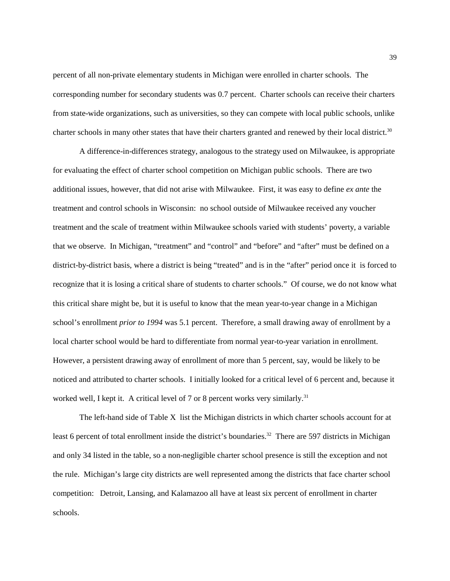percent of all non-private elementary students in Michigan were enrolled in charter schools. The corresponding number for secondary students was 0.7 percent. Charter schools can receive their charters from state-wide organizations, such as universities, so they can compete with local public schools, unlike charter schools in many other states that have their charters granted and renewed by their local district.<sup>30</sup>

A difference-in-differences strategy, analogous to the strategy used on Milwaukee, is appropriate for evaluating the effect of charter school competition on Michigan public schools. There are two additional issues, however, that did not arise with Milwaukee. First, it was easy to define *ex ante* the treatment and control schools in Wisconsin: no school outside of Milwaukee received any voucher treatment and the scale of treatment within Milwaukee schools varied with students' poverty, a variable that we observe. In Michigan, "treatment" and "control" and "before" and "after" must be defined on a district-by-district basis, where a district is being "treated" and is in the "after" period once it is forced to recognize that it is losing a critical share of students to charter schools." Of course, we do not know what this critical share might be, but it is useful to know that the mean year-to-year change in a Michigan school's enrollment *prior to 1994* was 5.1 percent. Therefore, a small drawing away of enrollment by a local charter school would be hard to differentiate from normal year-to-year variation in enrollment. However, a persistent drawing away of enrollment of more than 5 percent, say, would be likely to be noticed and attributed to charter schools. I initially looked for a critical level of 6 percent and, because it worked well, I kept it. A critical level of 7 or 8 percent works very similarly.<sup>31</sup>

The left-hand side of Table X list the Michigan districts in which charter schools account for at least 6 percent of total enrollment inside the district's boundaries.<sup>32</sup> There are 597 districts in Michigan and only 34 listed in the table, so a non-negligible charter school presence is still the exception and not the rule. Michigan's large city districts are well represented among the districts that face charter school competition: Detroit, Lansing, and Kalamazoo all have at least six percent of enrollment in charter schools.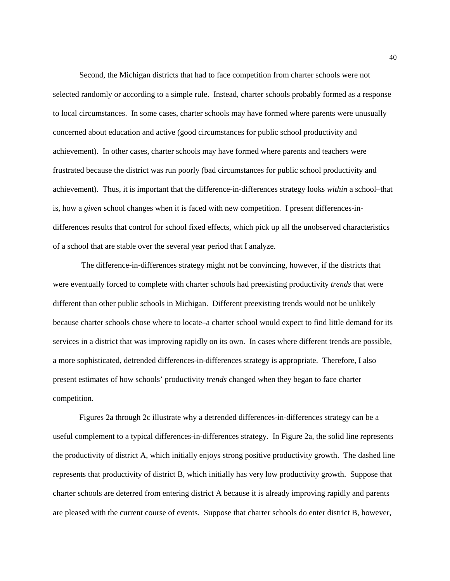Second, the Michigan districts that had to face competition from charter schools were not selected randomly or according to a simple rule. Instead, charter schools probably formed as a response to local circumstances. In some cases, charter schools may have formed where parents were unusually concerned about education and active (good circumstances for public school productivity and achievement). In other cases, charter schools may have formed where parents and teachers were frustrated because the district was run poorly (bad circumstances for public school productivity and achievement). Thus, it is important that the difference-in-differences strategy looks *within* a school–that is, how a *given* school changes when it is faced with new competition. I present differences-indifferences results that control for school fixed effects, which pick up all the unobserved characteristics of a school that are stable over the several year period that I analyze.

 The difference-in-differences strategy might not be convincing, however, if the districts that were eventually forced to complete with charter schools had preexisting productivity *trends* that were different than other public schools in Michigan. Different preexisting trends would not be unlikely because charter schools chose where to locate–a charter school would expect to find little demand for its services in a district that was improving rapidly on its own. In cases where different trends are possible, a more sophisticated, detrended differences-in-differences strategy is appropriate. Therefore, I also present estimates of how schools' productivity *trends* changed when they began to face charter competition.

Figures 2a through 2c illustrate why a detrended differences-in-differences strategy can be a useful complement to a typical differences-in-differences strategy. In Figure 2a, the solid line represents the productivity of district A, which initially enjoys strong positive productivity growth. The dashed line represents that productivity of district B, which initially has very low productivity growth. Suppose that charter schools are deterred from entering district A because it is already improving rapidly and parents are pleased with the current course of events. Suppose that charter schools do enter district B, however,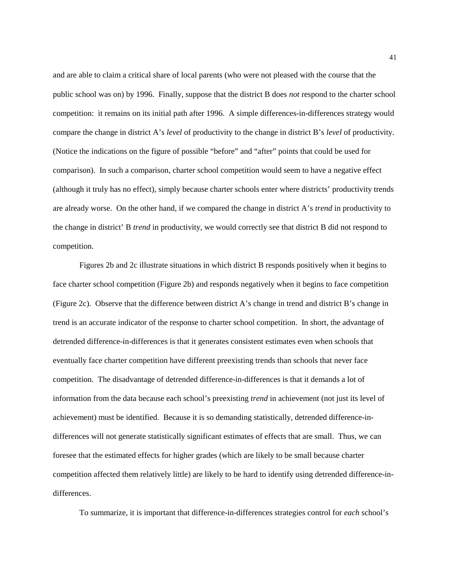and are able to claim a critical share of local parents (who were not pleased with the course that the public school was on) by 1996. Finally, suppose that the district B does *not* respond to the charter school competition: it remains on its initial path after 1996. A simple differences-in-differences strategy would compare the change in district A's *level* of productivity to the change in district B's *level* of productivity. (Notice the indications on the figure of possible "before" and "after" points that could be used for comparison). In such a comparison, charter school competition would seem to have a negative effect (although it truly has no effect), simply because charter schools enter where districts' productivity trends are already worse. On the other hand, if we compared the change in district A's *trend* in productivity to the change in district' B *trend* in productivity, we would correctly see that district B did not respond to competition.

Figures 2b and 2c illustrate situations in which district B responds positively when it begins to face charter school competition (Figure 2b) and responds negatively when it begins to face competition (Figure 2c). Observe that the difference between district A's change in trend and district B's change in trend is an accurate indicator of the response to charter school competition. In short, the advantage of detrended difference-in-differences is that it generates consistent estimates even when schools that eventually face charter competition have different preexisting trends than schools that never face competition. The disadvantage of detrended difference-in-differences is that it demands a lot of information from the data because each school's preexisting *trend* in achievement (not just its level of achievement) must be identified. Because it is so demanding statistically, detrended difference-indifferences will not generate statistically significant estimates of effects that are small. Thus, we can foresee that the estimated effects for higher grades (which are likely to be small because charter competition affected them relatively little) are likely to be hard to identify using detrended difference-indifferences.

To summarize, it is important that difference-in-differences strategies control for *each* school's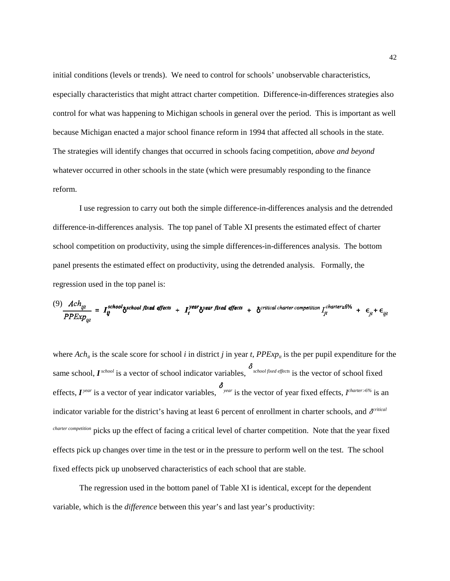initial conditions (levels or trends). We need to control for schools' unobservable characteristics, especially characteristics that might attract charter competition. Difference-in-differences strategies also control for what was happening to Michigan schools in general over the period. This is important as well because Michigan enacted a major school finance reform in 1994 that affected all schools in the state. The strategies will identify changes that occurred in schools facing competition, *above and beyond* whatever occurred in other schools in the state (which were presumably responding to the finance reform.

I use regression to carry out both the simple difference-in-differences analysis and the detrended difference-in-differences analysis. The top panel of Table XI presents the estimated effect of charter school competition on productivity, using the simple differences-in-differences analysis. The bottom panel presents the estimated effect on productivity, using the detrended analysis. Formally, the regression used in the top panel is:

$$
\frac{(9)}{PPExp_{ijt}} = I^{school} \delta^{school} \hat{f}^{seed} \hat{f}^{heat} + I^{year}_t \delta^{year} \hat{f}^{heat} \hat{f}^{fect} + \delta^{critical \, character \, competition} I^{character26\%}_{jt} + \epsilon_{jt} + \epsilon_{ijt}
$$

where  $Ach_{it}$  is the scale score for school *i* in district *j* in year *t*,  $PPExp_{it}$  is the per pupil expenditure for the same school, *I school* is a vector of school indicator variables,  *school fixed effects* is the vector of school fixed effects,  $I^{year}$  is a vector of year indicator variables,  $\delta^{year}$  is the vector of year fixed effects,  $I^{character 56\%}$  is an indicator variable for the district's having at least 6 percent of enrollment in charter schools, and  $\delta^{critical}$ *charter competition* picks up the effect of facing a critical level of charter competition. Note that the year fixed effects pick up changes over time in the test or in the pressure to perform well on the test. The school fixed effects pick up unobserved characteristics of each school that are stable.

The regression used in the bottom panel of Table XI is identical, except for the dependent variable, which is the *difference* between this year's and last year's productivity: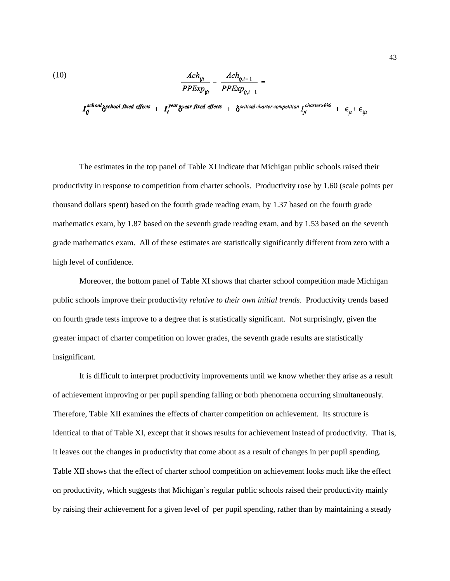(10)  
\n
$$
\frac{Ach_{ijt}}{PPExp_{ijt}} - \frac{Ach_{ij,t-1}}{PPExp_{ij,t-1}} =
$$
\n
$$
I_{ij}^{school} \delta^{school\ fixed\ effects} + I_{t}^{year} \delta^{year\ fixed\ effects} + \delta^{critical\ character\ competition} I_{jt}^{chart} I_{jt}^{chart} + \epsilon_{ijt}
$$

The estimates in the top panel of Table XI indicate that Michigan public schools raised their productivity in response to competition from charter schools. Productivity rose by 1.60 (scale points per thousand dollars spent) based on the fourth grade reading exam, by 1.37 based on the fourth grade mathematics exam, by 1.87 based on the seventh grade reading exam, and by 1.53 based on the seventh grade mathematics exam. All of these estimates are statistically significantly different from zero with a high level of confidence.

Moreover, the bottom panel of Table XI shows that charter school competition made Michigan public schools improve their productivity *relative to their own initial trends*. Productivity trends based on fourth grade tests improve to a degree that is statistically significant. Not surprisingly, given the greater impact of charter competition on lower grades, the seventh grade results are statistically insignificant.

It is difficult to interpret productivity improvements until we know whether they arise as a result of achievement improving or per pupil spending falling or both phenomena occurring simultaneously. Therefore, Table XII examines the effects of charter competition on achievement. Its structure is identical to that of Table XI, except that it shows results for achievement instead of productivity. That is, it leaves out the changes in productivity that come about as a result of changes in per pupil spending. Table XII shows that the effect of charter school competition on achievement looks much like the effect on productivity, which suggests that Michigan's regular public schools raised their productivity mainly by raising their achievement for a given level of per pupil spending, rather than by maintaining a steady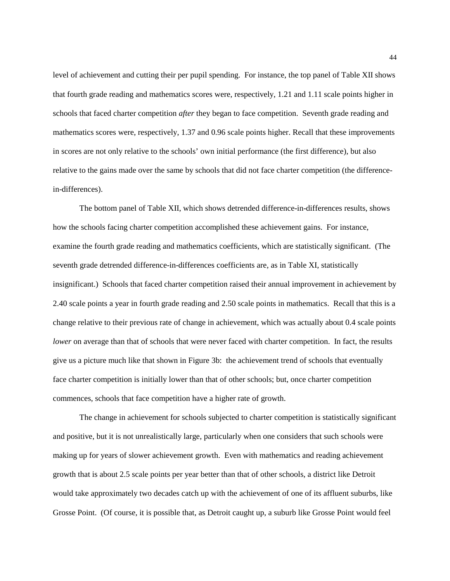level of achievement and cutting their per pupil spending. For instance, the top panel of Table XII shows that fourth grade reading and mathematics scores were, respectively, 1.21 and 1.11 scale points higher in schools that faced charter competition *after* they began to face competition. Seventh grade reading and mathematics scores were, respectively, 1.37 and 0.96 scale points higher. Recall that these improvements in scores are not only relative to the schools' own initial performance (the first difference), but also relative to the gains made over the same by schools that did not face charter competition (the differencein-differences).

The bottom panel of Table XII, which shows detrended difference-in-differences results, shows how the schools facing charter competition accomplished these achievement gains. For instance, examine the fourth grade reading and mathematics coefficients, which are statistically significant. (The seventh grade detrended difference-in-differences coefficients are, as in Table XI, statistically insignificant.) Schools that faced charter competition raised their annual improvement in achievement by 2.40 scale points a year in fourth grade reading and 2.50 scale points in mathematics. Recall that this is a change relative to their previous rate of change in achievement, which was actually about 0.4 scale points *lower* on average than that of schools that were never faced with charter competition. In fact, the results give us a picture much like that shown in Figure 3b: the achievement trend of schools that eventually face charter competition is initially lower than that of other schools; but, once charter competition commences, schools that face competition have a higher rate of growth.

The change in achievement for schools subjected to charter competition is statistically significant and positive, but it is not unrealistically large, particularly when one considers that such schools were making up for years of slower achievement growth. Even with mathematics and reading achievement growth that is about 2.5 scale points per year better than that of other schools, a district like Detroit would take approximately two decades catch up with the achievement of one of its affluent suburbs, like Grosse Point. (Of course, it is possible that, as Detroit caught up, a suburb like Grosse Point would feel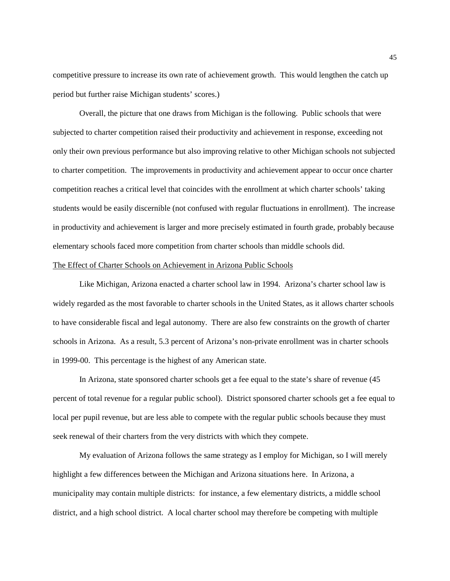competitive pressure to increase its own rate of achievement growth. This would lengthen the catch up period but further raise Michigan students' scores.)

Overall, the picture that one draws from Michigan is the following. Public schools that were subjected to charter competition raised their productivity and achievement in response, exceeding not only their own previous performance but also improving relative to other Michigan schools not subjected to charter competition. The improvements in productivity and achievement appear to occur once charter competition reaches a critical level that coincides with the enrollment at which charter schools' taking students would be easily discernible (not confused with regular fluctuations in enrollment). The increase in productivity and achievement is larger and more precisely estimated in fourth grade, probably because elementary schools faced more competition from charter schools than middle schools did.

### The Effect of Charter Schools on Achievement in Arizona Public Schools

Like Michigan, Arizona enacted a charter school law in 1994. Arizona's charter school law is widely regarded as the most favorable to charter schools in the United States, as it allows charter schools to have considerable fiscal and legal autonomy. There are also few constraints on the growth of charter schools in Arizona. As a result, 5.3 percent of Arizona's non-private enrollment was in charter schools in 1999-00. This percentage is the highest of any American state.

In Arizona, state sponsored charter schools get a fee equal to the state's share of revenue (45 percent of total revenue for a regular public school). District sponsored charter schools get a fee equal to local per pupil revenue, but are less able to compete with the regular public schools because they must seek renewal of their charters from the very districts with which they compete.

My evaluation of Arizona follows the same strategy as I employ for Michigan, so I will merely highlight a few differences between the Michigan and Arizona situations here. In Arizona, a municipality may contain multiple districts: for instance, a few elementary districts, a middle school district, and a high school district. A local charter school may therefore be competing with multiple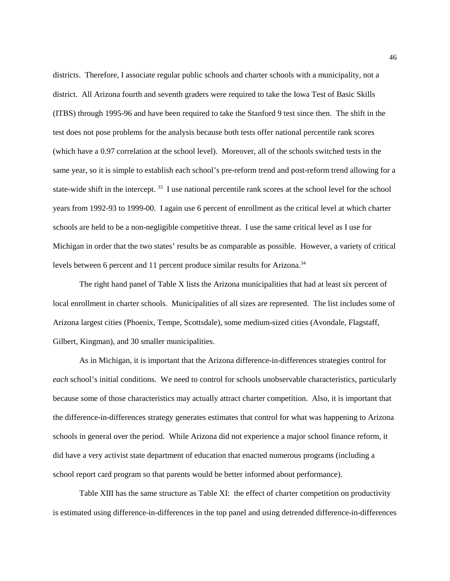districts. Therefore, I associate regular public schools and charter schools with a municipality, not a district. All Arizona fourth and seventh graders were required to take the Iowa Test of Basic Skills (ITBS) through 1995-96 and have been required to take the Stanford 9 test since then. The shift in the test does not pose problems for the analysis because both tests offer national percentile rank scores (which have a 0.97 correlation at the school level). Moreover, all of the schools switched tests in the same year, so it is simple to establish each school's pre-reform trend and post-reform trend allowing for a state-wide shift in the intercept.<sup>33</sup> I use national percentile rank scores at the school level for the school years from 1992-93 to 1999-00. I again use 6 percent of enrollment as the critical level at which charter schools are held to be a non-negligible competitive threat. I use the same critical level as I use for Michigan in order that the two states' results be as comparable as possible. However, a variety of critical levels between 6 percent and 11 percent produce similar results for Arizona.<sup>34</sup>

The right hand panel of Table X lists the Arizona municipalities that had at least six percent of local enrollment in charter schools. Municipalities of all sizes are represented. The list includes some of Arizona largest cities (Phoenix, Tempe, Scottsdale), some medium-sized cities (Avondale, Flagstaff, Gilbert, Kingman), and 30 smaller municipalities.

As in Michigan, it is important that the Arizona difference-in-differences strategies control for *each* school's initial conditions. We need to control for schools unobservable characteristics, particularly because some of those characteristics may actually attract charter competition. Also, it is important that the difference-in-differences strategy generates estimates that control for what was happening to Arizona schools in general over the period. While Arizona did not experience a major school finance reform, it did have a very activist state department of education that enacted numerous programs (including a school report card program so that parents would be better informed about performance).

Table XIII has the same structure as Table XI: the effect of charter competition on productivity is estimated using difference-in-differences in the top panel and using detrended difference-in-differences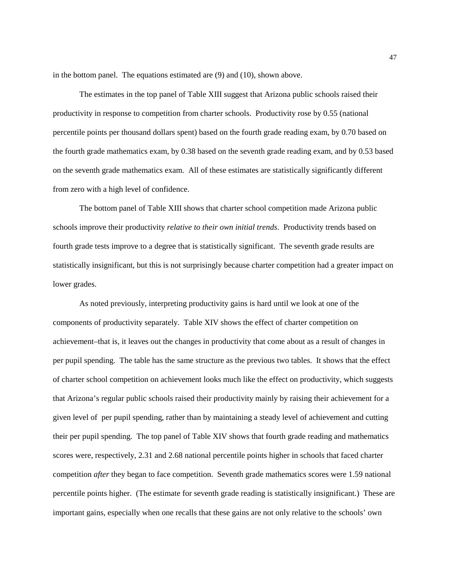in the bottom panel. The equations estimated are (9) and (10), shown above.

The estimates in the top panel of Table XIII suggest that Arizona public schools raised their productivity in response to competition from charter schools. Productivity rose by 0.55 (national percentile points per thousand dollars spent) based on the fourth grade reading exam, by 0.70 based on the fourth grade mathematics exam, by 0.38 based on the seventh grade reading exam, and by 0.53 based on the seventh grade mathematics exam. All of these estimates are statistically significantly different from zero with a high level of confidence.

The bottom panel of Table XIII shows that charter school competition made Arizona public schools improve their productivity *relative to their own initial trends*. Productivity trends based on fourth grade tests improve to a degree that is statistically significant. The seventh grade results are statistically insignificant, but this is not surprisingly because charter competition had a greater impact on lower grades.

As noted previously, interpreting productivity gains is hard until we look at one of the components of productivity separately. Table XIV shows the effect of charter competition on achievement–that is, it leaves out the changes in productivity that come about as a result of changes in per pupil spending. The table has the same structure as the previous two tables. It shows that the effect of charter school competition on achievement looks much like the effect on productivity, which suggests that Arizona's regular public schools raised their productivity mainly by raising their achievement for a given level of per pupil spending, rather than by maintaining a steady level of achievement and cutting their per pupil spending. The top panel of Table XIV shows that fourth grade reading and mathematics scores were, respectively, 2.31 and 2.68 national percentile points higher in schools that faced charter competition *after* they began to face competition. Seventh grade mathematics scores were 1.59 national percentile points higher. (The estimate for seventh grade reading is statistically insignificant.) These are important gains, especially when one recalls that these gains are not only relative to the schools' own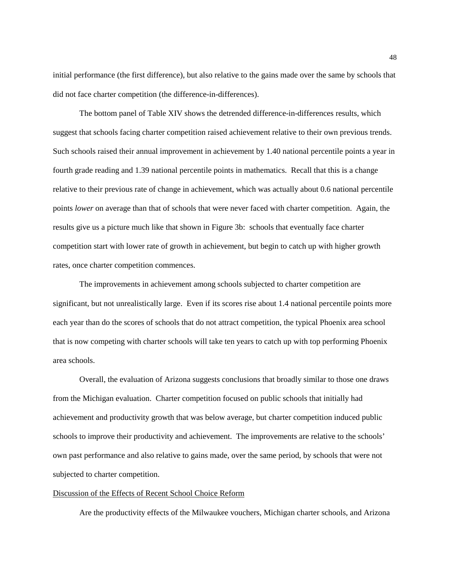initial performance (the first difference), but also relative to the gains made over the same by schools that did not face charter competition (the difference-in-differences).

The bottom panel of Table XIV shows the detrended difference-in-differences results, which suggest that schools facing charter competition raised achievement relative to their own previous trends. Such schools raised their annual improvement in achievement by 1.40 national percentile points a year in fourth grade reading and 1.39 national percentile points in mathematics. Recall that this is a change relative to their previous rate of change in achievement, which was actually about 0.6 national percentile points *lower* on average than that of schools that were never faced with charter competition. Again, the results give us a picture much like that shown in Figure 3b: schools that eventually face charter competition start with lower rate of growth in achievement, but begin to catch up with higher growth rates, once charter competition commences.

The improvements in achievement among schools subjected to charter competition are significant, but not unrealistically large. Even if its scores rise about 1.4 national percentile points more each year than do the scores of schools that do not attract competition, the typical Phoenix area school that is now competing with charter schools will take ten years to catch up with top performing Phoenix area schools.

Overall, the evaluation of Arizona suggests conclusions that broadly similar to those one draws from the Michigan evaluation. Charter competition focused on public schools that initially had achievement and productivity growth that was below average, but charter competition induced public schools to improve their productivity and achievement. The improvements are relative to the schools' own past performance and also relative to gains made, over the same period, by schools that were not subjected to charter competition.

### Discussion of the Effects of Recent School Choice Reform

Are the productivity effects of the Milwaukee vouchers, Michigan charter schools, and Arizona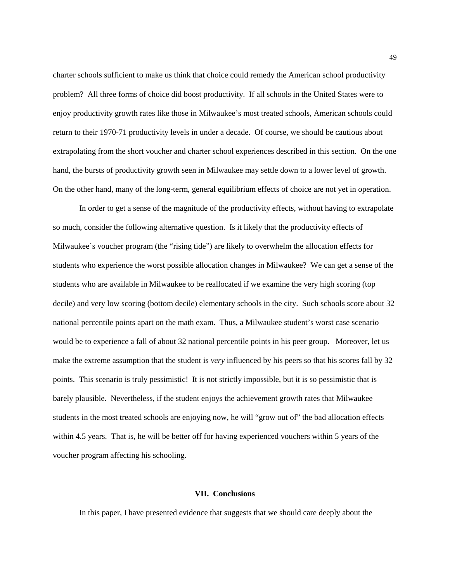charter schools sufficient to make us think that choice could remedy the American school productivity problem? All three forms of choice did boost productivity. If all schools in the United States were to enjoy productivity growth rates like those in Milwaukee's most treated schools, American schools could return to their 1970-71 productivity levels in under a decade. Of course, we should be cautious about extrapolating from the short voucher and charter school experiences described in this section. On the one hand, the bursts of productivity growth seen in Milwaukee may settle down to a lower level of growth. On the other hand, many of the long-term, general equilibrium effects of choice are not yet in operation.

In order to get a sense of the magnitude of the productivity effects, without having to extrapolate so much, consider the following alternative question. Is it likely that the productivity effects of Milwaukee's voucher program (the "rising tide") are likely to overwhelm the allocation effects for students who experience the worst possible allocation changes in Milwaukee? We can get a sense of the students who are available in Milwaukee to be reallocated if we examine the very high scoring (top decile) and very low scoring (bottom decile) elementary schools in the city. Such schools score about 32 national percentile points apart on the math exam. Thus, a Milwaukee student's worst case scenario would be to experience a fall of about 32 national percentile points in his peer group. Moreover, let us make the extreme assumption that the student is *very* influenced by his peers so that his scores fall by 32 points. This scenario is truly pessimistic! It is not strictly impossible, but it is so pessimistic that is barely plausible. Nevertheless, if the student enjoys the achievement growth rates that Milwaukee students in the most treated schools are enjoying now, he will "grow out of" the bad allocation effects within 4.5 years. That is, he will be better off for having experienced vouchers within 5 years of the voucher program affecting his schooling.

### **VII. Conclusions**

In this paper, I have presented evidence that suggests that we should care deeply about the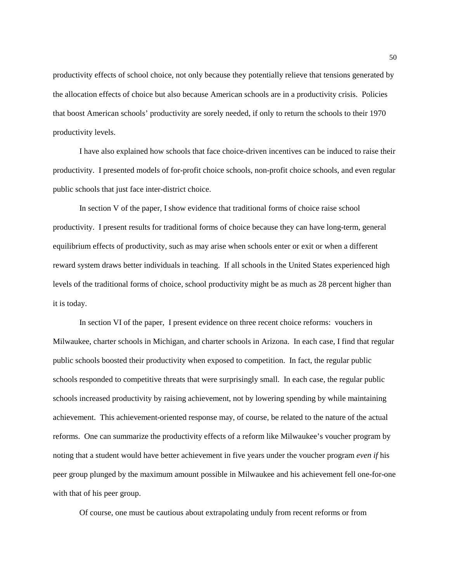productivity effects of school choice, not only because they potentially relieve that tensions generated by the allocation effects of choice but also because American schools are in a productivity crisis. Policies that boost American schools' productivity are sorely needed, if only to return the schools to their 1970 productivity levels.

I have also explained how schools that face choice-driven incentives can be induced to raise their productivity. I presented models of for-profit choice schools, non-profit choice schools, and even regular public schools that just face inter-district choice.

In section V of the paper, I show evidence that traditional forms of choice raise school productivity. I present results for traditional forms of choice because they can have long-term, general equilibrium effects of productivity, such as may arise when schools enter or exit or when a different reward system draws better individuals in teaching. If all schools in the United States experienced high levels of the traditional forms of choice, school productivity might be as much as 28 percent higher than it is today.

In section VI of the paper, I present evidence on three recent choice reforms: vouchers in Milwaukee, charter schools in Michigan, and charter schools in Arizona. In each case, I find that regular public schools boosted their productivity when exposed to competition. In fact, the regular public schools responded to competitive threats that were surprisingly small. In each case, the regular public schools increased productivity by raising achievement, not by lowering spending by while maintaining achievement. This achievement-oriented response may, of course, be related to the nature of the actual reforms. One can summarize the productivity effects of a reform like Milwaukee's voucher program by noting that a student would have better achievement in five years under the voucher program *even if* his peer group plunged by the maximum amount possible in Milwaukee and his achievement fell one-for-one with that of his peer group.

Of course, one must be cautious about extrapolating unduly from recent reforms or from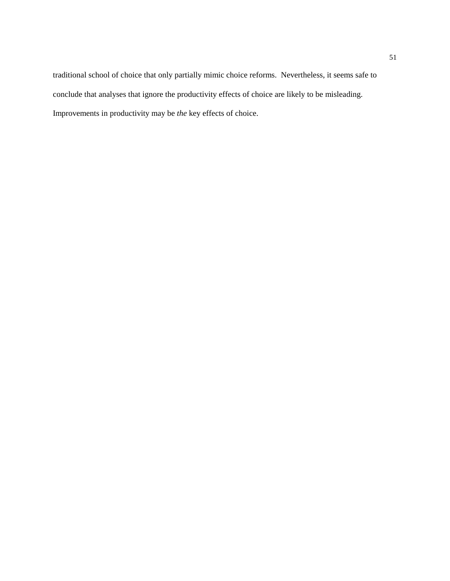traditional school of choice that only partially mimic choice reforms. Nevertheless, it seems safe to conclude that analyses that ignore the productivity effects of choice are likely to be misleading. Improvements in productivity may be *the* key effects of choice.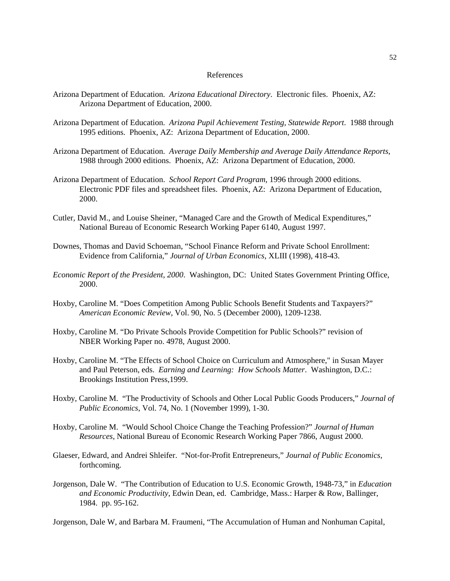#### References

- Arizona Department of Education. *Arizona Educational Directory*. Electronic files. Phoenix, AZ: Arizona Department of Education, 2000.
- Arizona Department of Education. *Arizona Pupil Achievement Testing, Statewide Report*. 1988 through 1995 editions. Phoenix, AZ: Arizona Department of Education, 2000.
- Arizona Department of Education. *Average Daily Membership and Average Daily Attendance Reports*, 1988 through 2000 editions. Phoenix, AZ: Arizona Department of Education, 2000.
- Arizona Department of Education. *School Report Card Program*, 1996 through 2000 editions. Electronic PDF files and spreadsheet files. Phoenix, AZ: Arizona Department of Education, 2000.
- Cutler, David M., and Louise Sheiner, "Managed Care and the Growth of Medical Expenditures," National Bureau of Economic Research Working Paper 6140, August 1997.
- Downes, Thomas and David Schoeman, "School Finance Reform and Private School Enrollment: Evidence from California," *Journal of Urban Economics*, XLIII (1998), 418-43.
- *Economic Report of the President, 2000*. Washington, DC: United States Government Printing Office, 2000.
- Hoxby, Caroline M. "Does Competition Among Public Schools Benefit Students and Taxpayers?" *American Economic Review*, Vol. 90, No. 5 (December 2000), 1209-1238.
- Hoxby, Caroline M. "Do Private Schools Provide Competition for Public Schools?" revision of NBER Working Paper no. 4978, August 2000.
- Hoxby, Caroline M. "The Effects of School Choice on Curriculum and Atmosphere," in Susan Mayer and Paul Peterson, eds. *Earning and Learning: How Schools Matter*. Washington, D.C.: Brookings Institution Press,1999.
- Hoxby, Caroline M. "The Productivity of Schools and Other Local Public Goods Producers," *Journal of Public Economics*, Vol. 74, No. 1 (November 1999), 1-30.
- Hoxby, Caroline M. "Would School Choice Change the Teaching Profession?" *Journal of Human Resources*, National Bureau of Economic Research Working Paper 7866, August 2000.
- Glaeser, Edward, and Andrei Shleifer. "Not-for-Profit Entrepreneurs," *Journal of Public Economics*, forthcoming.
- Jorgenson, Dale W. "The Contribution of Education to U.S. Economic Growth, 1948-73," in *Education and Economic Productivity*, Edwin Dean, ed. Cambridge, Mass.: Harper & Row, Ballinger, 1984. pp. 95-162.

Jorgenson, Dale W, and Barbara M. Fraumeni, "The Accumulation of Human and Nonhuman Capital,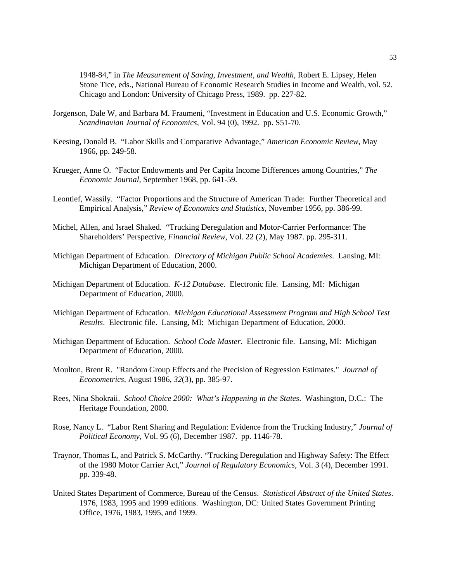1948-84," in *The Measurement of Saving, Investment, and Wealth*, Robert E. Lipsey, Helen Stone Tice, eds., National Bureau of Economic Research Studies in Income and Wealth, vol. 52. Chicago and London: University of Chicago Press, 1989. pp. 227-82.

- Jorgenson, Dale W, and Barbara M. Fraumeni, "Investment in Education and U.S. Economic Growth," *Scandinavian Journal of Economics*, Vol. 94 (0), 1992. pp. S51-70.
- Keesing, Donald B. "Labor Skills and Comparative Advantage," *American Economic Review*, May 1966, pp. 249-58.
- Krueger, Anne O. "Factor Endowments and Per Capita Income Differences among Countries," *The Economic Journal*, September 1968, pp. 641-59.
- Leontief, Wassily. "Factor Proportions and the Structure of American Trade: Further Theoretical and Empirical Analysis," *Review of Economics and Statistics*, November 1956, pp. 386-99.
- Michel, Allen, and Israel Shaked. "Trucking Deregulation and Motor-Carrier Performance: The Shareholders' Perspective, *Financial Review*, Vol. 22 (2), May 1987. pp. 295-311.
- Michigan Department of Education. *Directory of Michigan Public School Academies*. Lansing, MI: Michigan Department of Education, 2000.
- Michigan Department of Education. *K-12 Database*. Electronic file. Lansing, MI: Michigan Department of Education, 2000.
- Michigan Department of Education. *Michigan Educational Assessment Program and High School Test Results*. Electronic file. Lansing, MI: Michigan Department of Education, 2000.
- Michigan Department of Education. *School Code Master*. Electronic file. Lansing, MI: Michigan Department of Education, 2000.
- Moulton, Brent R. "Random Group Effects and the Precision of Regression Estimates." *Journal of Econometrics*, August 1986, *32*(3), pp. 385-97.
- Rees, Nina Shokraii. *School Choice 2000: What's Happening in the States*. Washington, D.C.: The Heritage Foundation, 2000.
- Rose, Nancy L. "Labor Rent Sharing and Regulation: Evidence from the Trucking Industry," *Journal of Political Economy*, Vol. 95 (6), December 1987. pp. 1146-78.
- Traynor, Thomas L, and Patrick S. McCarthy. "Trucking Deregulation and Highway Safety: The Effect of the 1980 Motor Carrier Act," *Journal of Regulatory Economics*, Vol. 3 (4), December 1991. pp. 339-48.
- United States Department of Commerce, Bureau of the Census. *Statistical Abstract of the United States*. 1976, 1983, 1995 and 1999 editions. Washington, DC: United States Government Printing Office, 1976, 1983, 1995, and 1999.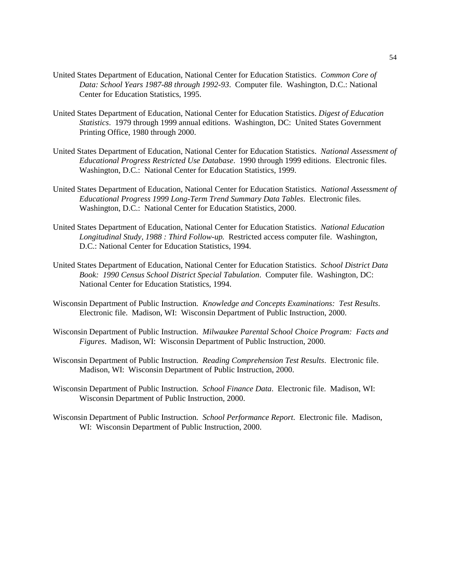- United States Department of Education, National Center for Education Statistics. *Common Core of Data: School Years 1987-88 through 1992-93*. Computer file. Washington, D.C.: National Center for Education Statistics, 1995.
- United States Department of Education, National Center for Education Statistics. *Digest of Education Statistics*. 1979 through 1999 annual editions. Washington, DC: United States Government Printing Office, 1980 through 2000.
- United States Department of Education, National Center for Education Statistics. *National Assessment of Educational Progress Restricted Use Database*. 1990 through 1999 editions. Electronic files. Washington, D.C.: National Center for Education Statistics, 1999.
- United States Department of Education, National Center for Education Statistics. *National Assessment of Educational Progress 1999 Long-Term Trend Summary Data Tables*. Electronic files. Washington, D.C.: National Center for Education Statistics, 2000.
- United States Department of Education, National Center for Education Statistics. *National Education Longitudinal Study, 1988 : Third Follow-up.* Restricted access computer file. Washington, D.C.: National Center for Education Statistics, 1994.
- United States Department of Education, National Center for Education Statistics. *School District Data Book: 1990 Census School District Special Tabulation*. Computer file. Washington, DC: National Center for Education Statistics, 1994.
- Wisconsin Department of Public Instruction. *Knowledge and Concepts Examinations: Test Results*. Electronic file. Madison, WI: Wisconsin Department of Public Instruction, 2000.
- Wisconsin Department of Public Instruction. *Milwaukee Parental School Choice Program: Facts and Figures*. Madison, WI: Wisconsin Department of Public Instruction, 2000.
- Wisconsin Department of Public Instruction. *Reading Comprehension Test Results*. Electronic file. Madison, WI: Wisconsin Department of Public Instruction, 2000.
- Wisconsin Department of Public Instruction. *School Finance Data*. Electronic file. Madison, WI: Wisconsin Department of Public Instruction, 2000.
- Wisconsin Department of Public Instruction. *School Performance Report*. Electronic file. Madison, WI: Wisconsin Department of Public Instruction, 2000.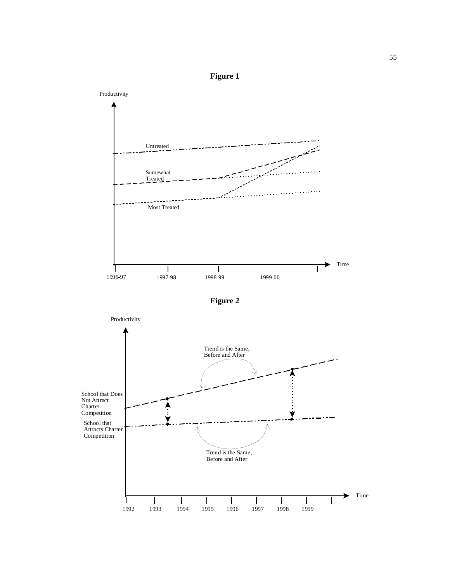

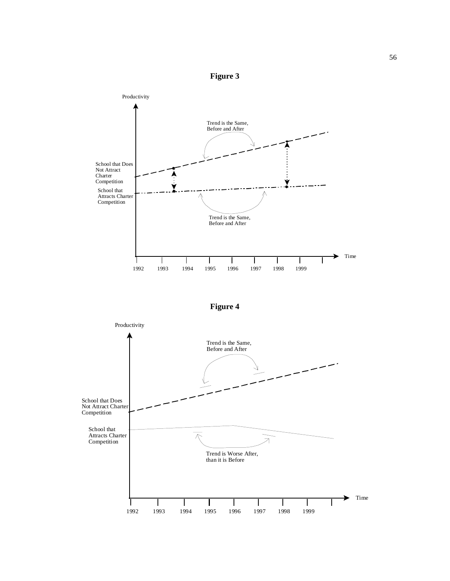





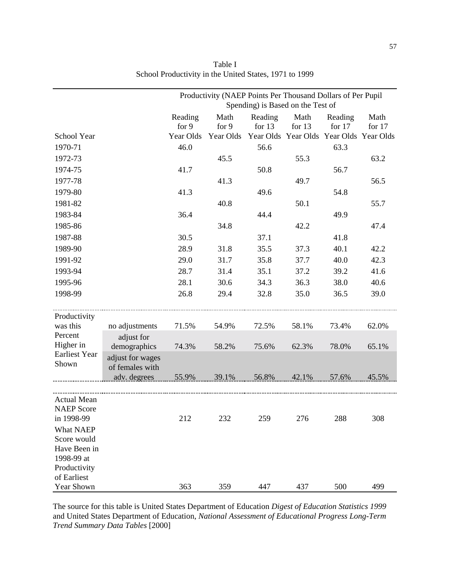|                                   |                                 | Productivity (NAEP Points Per Thousand Dollars of Per Pupil<br>Spending) is Based on the Test of |                         |                                         |          |          |        |
|-----------------------------------|---------------------------------|--------------------------------------------------------------------------------------------------|-------------------------|-----------------------------------------|----------|----------|--------|
|                                   |                                 | Reading                                                                                          | Math                    | Reading                                 | Math     | Reading  | Math   |
|                                   |                                 | for 9                                                                                            | for $9$                 | for $13$                                | for $13$ | for $17$ | for 17 |
| School Year                       |                                 | Year Olds                                                                                        | Year Olds               | Year Olds Year Olds Year Olds Year Olds |          |          |        |
| 1970-71                           |                                 | 46.0                                                                                             |                         | 56.6                                    |          | 63.3     |        |
| 1972-73                           |                                 |                                                                                                  | 45.5                    |                                         | 55.3     |          | 63.2   |
| 1974-75                           |                                 | 41.7                                                                                             |                         | 50.8                                    |          | 56.7     |        |
| 1977-78                           |                                 |                                                                                                  | 41.3                    |                                         | 49.7     |          | 56.5   |
| 1979-80                           |                                 | 41.3                                                                                             |                         | 49.6                                    |          | 54.8     |        |
| 1981-82                           |                                 |                                                                                                  | 40.8                    |                                         | 50.1     |          | 55.7   |
| 1983-84                           |                                 | 36.4                                                                                             |                         | 44.4                                    |          | 49.9     |        |
| 1985-86                           |                                 |                                                                                                  | 34.8                    |                                         | 42.2     |          | 47.4   |
| 1987-88                           |                                 | 30.5                                                                                             |                         | 37.1                                    |          | 41.8     |        |
| 1989-90                           |                                 | 28.9                                                                                             | 31.8                    | 35.5                                    | 37.3     | 40.1     | 42.2   |
| 1991-92                           |                                 | 29.0                                                                                             | 31.7                    | 35.8                                    | 37.7     | 40.0     | 42.3   |
| 1993-94                           |                                 | 28.7                                                                                             | 31.4                    | 35.1                                    | 37.2     | 39.2     | 41.6   |
| 1995-96                           |                                 | 28.1                                                                                             | 30.6                    | 34.3                                    | 36.3     | 38.0     | 40.6   |
| 1998-99                           |                                 | 26.8                                                                                             | 29.4                    | 32.8                                    | 35.0     | 36.5     | 39.0   |
|                                   |                                 |                                                                                                  |                         |                                         |          |          |        |
| Productivity                      |                                 |                                                                                                  |                         |                                         |          |          |        |
| was this                          | no adjustments                  | 71.5%                                                                                            | 54.9%                   | 72.5%                                   | 58.1%    | 73.4%    | 62.0%  |
| Percent                           | adjust for                      |                                                                                                  |                         |                                         |          |          |        |
| Higher in<br><b>Earliest Year</b> | demographics                    | 74.3%                                                                                            | 58.2%                   | 75.6%                                   | 62.3%    | 78.0%    | 65.1%  |
| Shown                             | adjust for wages                |                                                                                                  |                         |                                         |          |          |        |
|                                   | of females with<br>adv. degrees |                                                                                                  |                         |                                         |          |          |        |
|                                   |                                 |                                                                                                  | 55.9% 39.1% 56.8% 42.1% |                                         |          | 57.6%    | 45.5%  |
| <b>Actual Mean</b>                |                                 |                                                                                                  |                         |                                         |          |          |        |
| <b>NAEP</b> Score                 |                                 |                                                                                                  |                         |                                         |          |          |        |
| in 1998-99                        |                                 | 212                                                                                              | 232                     | 259                                     | 276      | 288      | 308    |
| What NAEP                         |                                 |                                                                                                  |                         |                                         |          |          |        |
| Score would                       |                                 |                                                                                                  |                         |                                         |          |          |        |
| Have Been in                      |                                 |                                                                                                  |                         |                                         |          |          |        |
| 1998-99 at                        |                                 |                                                                                                  |                         |                                         |          |          |        |
| Productivity<br>of Earliest       |                                 |                                                                                                  |                         |                                         |          |          |        |
| Year Shown                        |                                 | 363                                                                                              | 359                     | 447                                     | 437      | 500      | 499    |

Table I School Productivity in the United States, 1971 to 1999

The source for this table is United States Department of Education *Digest of Education Statistics 1999* and United States Department of Education, *National Assessment of Educational Progress Long-Term Trend Summary Data Tables* [2000]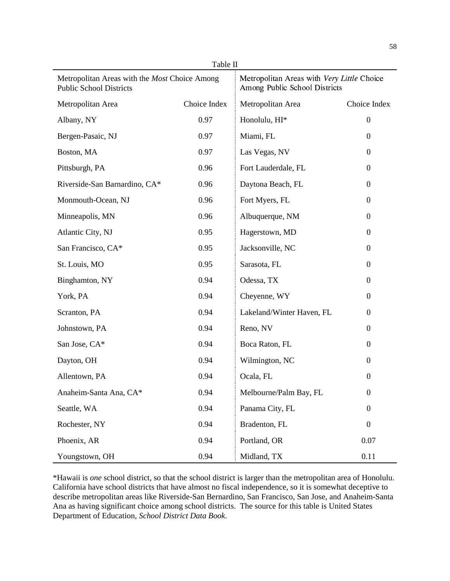| Table II                                                                        |              |                                                                             |                  |  |  |
|---------------------------------------------------------------------------------|--------------|-----------------------------------------------------------------------------|------------------|--|--|
| Metropolitan Areas with the Most Choice Among<br><b>Public School Districts</b> |              | Metropolitan Areas with Very Little Choice<br>Among Public School Districts |                  |  |  |
| Metropolitan Area                                                               | Choice Index | Metropolitan Area                                                           | Choice Index     |  |  |
| Albany, NY                                                                      | 0.97         | Honolulu, HI*                                                               | $\boldsymbol{0}$ |  |  |
| Bergen-Pasaic, NJ                                                               | 0.97         | Miami, FL                                                                   | $\mathbf{0}$     |  |  |
| Boston, MA                                                                      | 0.97         | Las Vegas, NV                                                               | $\mathbf{0}$     |  |  |
| Pittsburgh, PA                                                                  | 0.96         | Fort Lauderdale, FL                                                         | $\boldsymbol{0}$ |  |  |
| Riverside-San Barnardino, CA*                                                   | 0.96         | Daytona Beach, FL                                                           | $\overline{0}$   |  |  |
| Monmouth-Ocean, NJ                                                              | 0.96         | Fort Myers, FL                                                              | $\boldsymbol{0}$ |  |  |
| Minneapolis, MN                                                                 | 0.96         | Albuquerque, NM                                                             | $\boldsymbol{0}$ |  |  |
| Atlantic City, NJ                                                               | 0.95         | Hagerstown, MD                                                              | $\overline{0}$   |  |  |
| San Francisco, CA*                                                              | 0.95         | Jacksonville, NC                                                            | $\overline{0}$   |  |  |
| St. Louis, MO                                                                   | 0.95         | Sarasota, FL                                                                | $\overline{0}$   |  |  |
| Binghamton, NY                                                                  | 0.94         | Odessa, TX                                                                  | $\overline{0}$   |  |  |
| York, PA                                                                        | 0.94         | Cheyenne, WY                                                                | $\boldsymbol{0}$ |  |  |
| Scranton, PA                                                                    | 0.94         | Lakeland/Winter Haven, FL                                                   | $\overline{0}$   |  |  |
| Johnstown, PA                                                                   | 0.94         | Reno, NV                                                                    | $\overline{0}$   |  |  |
| San Jose, CA*                                                                   | 0.94         | Boca Raton, FL                                                              | $\overline{0}$   |  |  |
| Dayton, OH                                                                      | 0.94         | Wilmington, NC                                                              | $\boldsymbol{0}$ |  |  |
| Allentown, PA                                                                   | 0.94         | Ocala, FL                                                                   | $\boldsymbol{0}$ |  |  |
| Anaheim-Santa Ana, CA*                                                          | 0.94         | Melbourne/Palm Bay, FL                                                      | $\boldsymbol{0}$ |  |  |
| Seattle, WA                                                                     | 0.94         | Panama City, FL                                                             | $\boldsymbol{0}$ |  |  |
| Rochester, NY                                                                   | 0.94         | Bradenton, FL                                                               | $\overline{0}$   |  |  |
| Phoenix, AR                                                                     | 0.94         | Portland, OR                                                                | 0.07             |  |  |
| Youngstown, OH                                                                  | 0.94         | Midland, TX                                                                 | 0.11             |  |  |

\*Hawaii is *one* school district, so that the school district is larger than the metropolitan area of Honolulu. California have school districts that have almost no fiscal independence, so it is somewhat deceptive to describe metropolitan areas like Riverside-San Bernardino, San Francisco, San Jose, and Anaheim-Santa Ana as having significant choice among school districts. The source for this table is United States Department of Education, *School District Data Book*.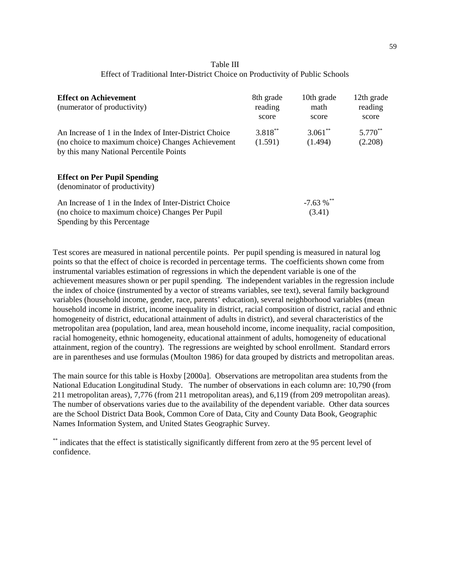# Table III Effect of Traditional Inter-District Choice on Productivity of Public Schools

| <b>Effect on Achievement</b><br>(numerator of productivity)                                                                                            | 8th grade<br>reading<br>score | 10th grade<br>math<br>score | 12th grade<br>reading<br>score |
|--------------------------------------------------------------------------------------------------------------------------------------------------------|-------------------------------|-----------------------------|--------------------------------|
| An Increase of 1 in the Index of Inter-District Choice<br>(no choice to maximum choice) Changes Achievement<br>by this many National Percentile Points | $3.818***$<br>(1.591)         | $3.061**$<br>(1.494)        | $5.770^{**}$<br>(2.208)        |
| <b>Effect on Per Pupil Spending</b><br>(denominator of productivity)                                                                                   |                               |                             |                                |
| An Increase of 1 in the Index of Inter-District Choice<br>(no choice to maximum choice) Changes Per Pupil<br>Spending by this Percentage               |                               | $-7.63%$<br>(3.41)          |                                |

Test scores are measured in national percentile points. Per pupil spending is measured in natural log points so that the effect of choice is recorded in percentage terms. The coefficients shown come from instrumental variables estimation of regressions in which the dependent variable is one of the achievement measures shown or per pupil spending. The independent variables in the regression include the index of choice (instrumented by a vector of streams variables, see text), several family background variables (household income, gender, race, parents' education), several neighborhood variables (mean household income in district, income inequality in district, racial composition of district, racial and ethnic homogeneity of district, educational attainment of adults in district), and several characteristics of the metropolitan area (population, land area, mean household income, income inequality, racial composition, racial homogeneity, ethnic homogeneity, educational attainment of adults, homogeneity of educational attainment, region of the country). The regressions are weighted by school enrollment. Standard errors are in parentheses and use formulas (Moulton 1986) for data grouped by districts and metropolitan areas.

The main source for this table is Hoxby [2000a]. Observations are metropolitan area students from the National Education Longitudinal Study. The number of observations in each column are: 10,790 (from 211 metropolitan areas), 7,776 (from 211 metropolitan areas), and 6,119 (from 209 metropolitan areas). The number of observations varies due to the availability of the dependent variable. Other data sources are the School District Data Book, Common Core of Data, City and County Data Book, Geographic Names Information System, and United States Geographic Survey.

\*\* indicates that the effect is statistically significantly different from zero at the 95 percent level of confidence.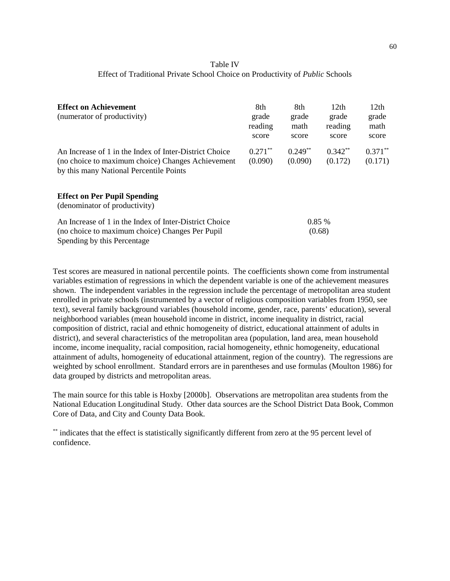| <b>Table IV</b>                                                                      |  |
|--------------------------------------------------------------------------------------|--|
| Effect of Traditional Private School Choice on Productivity of <i>Public</i> Schools |  |

| <b>Effect on Achievement</b><br>(numerator of productivity)                                                                                            | 8th<br>grade<br>reading<br>score | 8th<br>grade<br>math<br>score | 12th<br>grade<br>reading<br>score | 12th<br>grade<br>math<br>score |
|--------------------------------------------------------------------------------------------------------------------------------------------------------|----------------------------------|-------------------------------|-----------------------------------|--------------------------------|
| An Increase of 1 in the Index of Inter-District Choice<br>(no choice to maximum choice) Changes Achievement<br>by this many National Percentile Points | $0.271$ **<br>(0.090)            | $0.249**$<br>(0.090)          | $0.342**$<br>(0.172)              | $0.371***$<br>(0.171)          |
| <b>Effect on Per Pupil Spending</b><br>(denominator of productivity)                                                                                   |                                  |                               |                                   |                                |
| An Increase of 1 in the Index of Inter-District Choice<br>(no choice to maximum choice) Changes Per Pupil<br>Spending by this Percentage               |                                  |                               | $0.85\%$<br>(0.68)                |                                |

Test scores are measured in national percentile points. The coefficients shown come from instrumental variables estimation of regressions in which the dependent variable is one of the achievement measures shown. The independent variables in the regression include the percentage of metropolitan area student enrolled in private schools (instrumented by a vector of religious composition variables from 1950, see text), several family background variables (household income, gender, race, parents' education), several neighborhood variables (mean household income in district, income inequality in district, racial composition of district, racial and ethnic homogeneity of district, educational attainment of adults in district), and several characteristics of the metropolitan area (population, land area, mean household income, income inequality, racial composition, racial homogeneity, ethnic homogeneity, educational attainment of adults, homogeneity of educational attainment, region of the country). The regressions are weighted by school enrollment. Standard errors are in parentheses and use formulas (Moulton 1986) for data grouped by districts and metropolitan areas.

The main source for this table is Hoxby [2000b]. Observations are metropolitan area students from the National Education Longitudinal Study. Other data sources are the School District Data Book, Common Core of Data, and City and County Data Book.

\*\*\*\* indicates that the effect is statistically significantly different from zero at the 95 percent level of confidence.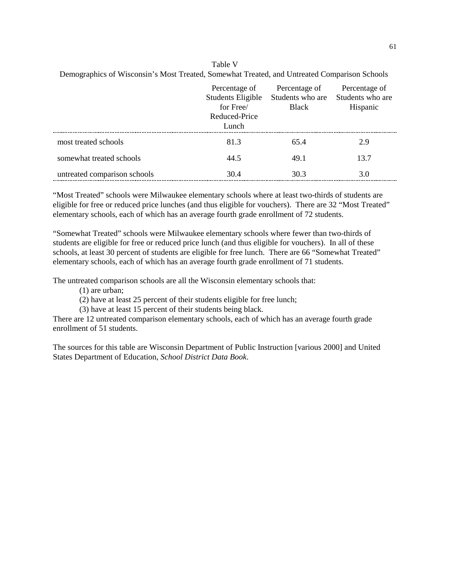|                              | Percentage of<br>Students Eligible<br>for Free/<br>Reduced-Price<br>Lunch | Percentage of<br>Students who are<br><b>Black</b> | Percentage of<br>Students who are<br>Hispanic |
|------------------------------|---------------------------------------------------------------------------|---------------------------------------------------|-----------------------------------------------|
| most treated schools         | 81.3                                                                      | 65.4                                              | 2.9                                           |
| somewhat treated schools     | 44.5                                                                      | 49.1                                              | 13.7                                          |
| untreated comparison schools | 30.4                                                                      | 30.3                                              | 3.0                                           |

| Table V                                                                                      |
|----------------------------------------------------------------------------------------------|
| Demographics of Wisconsin's Most Treated, Somewhat Treated, and Untreated Comparison Schools |

"Most Treated" schools were Milwaukee elementary schools where at least two-thirds of students are eligible for free or reduced price lunches (and thus eligible for vouchers). There are 32 "Most Treated" elementary schools, each of which has an average fourth grade enrollment of 72 students.

"Somewhat Treated" schools were Milwaukee elementary schools where fewer than two-thirds of students are eligible for free or reduced price lunch (and thus eligible for vouchers). In all of these schools, at least 30 percent of students are eligible for free lunch. There are 66 "Somewhat Treated" elementary schools, each of which has an average fourth grade enrollment of 71 students.

The untreated comparison schools are all the Wisconsin elementary schools that:

(1) are urban;

(2) have at least 25 percent of their students eligible for free lunch;

(3) have at least 15 percent of their students being black.

There are 12 untreated comparison elementary schools, each of which has an average fourth grade enrollment of 51 students.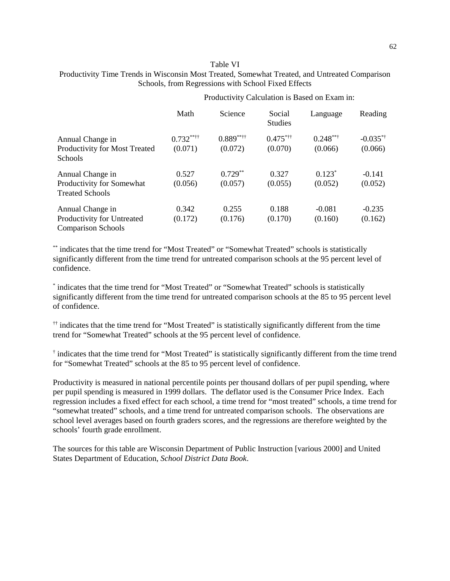### Table VI

### Productivity Time Trends in Wisconsin Most Treated, Somewhat Treated, and Untreated Comparison Schools, from Regressions with School Fixed Effects

Productivity Calculation is Based on Exam in:

|                                                                             | Math                  | Science               | Social<br><b>Studies</b>          | Language              | Reading               |
|-----------------------------------------------------------------------------|-----------------------|-----------------------|-----------------------------------|-----------------------|-----------------------|
| Annual Change in<br>Productivity for Most Treated<br>Schools                | $0.732***$<br>(0.071) | $0.889***$<br>(0.072) | $0.475$ <sup>*††</sup><br>(0.070) | $0.248***$<br>(0.066) | $-0.035**$<br>(0.066) |
| Annual Change in<br>Productivity for Somewhat<br><b>Treated Schools</b>     | 0.527<br>(0.056)      | $0.729**$<br>(0.057)  | 0.327<br>(0.055)                  | $0.123*$<br>(0.052)   | $-0.141$<br>(0.052)   |
| Annual Change in<br>Productivity for Untreated<br><b>Comparison Schools</b> | 0.342<br>(0.172)      | 0.255<br>(0.176)      | 0.188<br>(0.170)                  | $-0.081$<br>(0.160)   | $-0.235$<br>(0.162)   |

\*\* indicates that the time trend for "Most Treated" or "Somewhat Treated" schools is statistically significantly different from the time trend for untreated comparison schools at the 95 percent level of confidence.

\* indicates that the time trend for "Most Treated" or "Somewhat Treated" schools is statistically significantly different from the time trend for untreated comparison schools at the 85 to 95 percent level of confidence.

†† indicates that the time trend for "Most Treated" is statistically significantly different from the time trend for "Somewhat Treated" schools at the 95 percent level of confidence.

<sup>†</sup> indicates that the time trend for "Most Treated" is statistically significantly different from the time trend for "Somewhat Treated" schools at the 85 to 95 percent level of confidence.

Productivity is measured in national percentile points per thousand dollars of per pupil spending, where per pupil spending is measured in 1999 dollars. The deflator used is the Consumer Price Index. Each regression includes a fixed effect for each school, a time trend for "most treated" schools, a time trend for "somewhat treated" schools, and a time trend for untreated comparison schools. The observations are school level averages based on fourth graders scores, and the regressions are therefore weighted by the schools' fourth grade enrollment.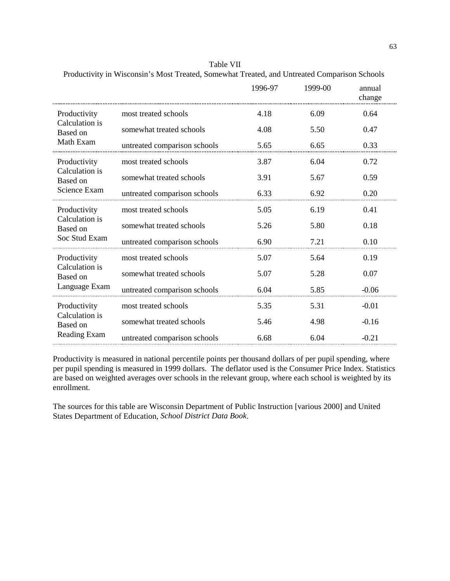|                                   |                              | 1996-97 | 1999-00 | annual<br>change |
|-----------------------------------|------------------------------|---------|---------|------------------|
| Productivity                      | most treated schools         | 4.18    | 6.09    | 0.64             |
| Calculation is<br><b>Based on</b> | somewhat treated schools     | 4.08    | 5.50    | 0.47             |
| Math Exam                         | untreated comparison schools | 5.65    | 6.65    | 0.33             |
| Productivity                      | most treated schools         | 3.87    | 6.04    | 0.72             |
| Calculation is<br><b>Based</b> on | somewhat treated schools     | 3.91    | 5.67    | 0.59             |
| <b>Science Exam</b>               | untreated comparison schools | 6.33    | 6.92    | 0.20             |
| Productivity                      | most treated schools         | 5.05    | 6.19    | 0.41             |
| Calculation is<br><b>Based</b> on | somewhat treated schools     | 5.26    | 5.80    | 0.18             |
| Soc Stud Exam                     | untreated comparison schools | 6.90    | 7.21    | 0.10             |
| Productivity                      | most treated schools         | 5.07    | 5.64    | 0.19             |
| Calculation is<br><b>Based</b> on | somewhat treated schools     | 5.07    | 5.28    | 0.07             |
| Language Exam                     | untreated comparison schools | 6.04    | 5.85    | $-0.06$          |
| Productivity                      | most treated schools         | 5.35    | 5.31    | $-0.01$          |
| Calculation is<br>Based on        | somewhat treated schools     | 5.46    | 4.98    | $-0.16$          |
| Reading Exam                      | untreated comparison schools | 6.68    | 6.04    | $-0.21$          |

Table VII Productivity in Wisconsin's Most Treated, Somewhat Treated, and Untreated Comparison Schools

Productivity is measured in national percentile points per thousand dollars of per pupil spending, where per pupil spending is measured in 1999 dollars. The deflator used is the Consumer Price Index. Statistics are based on weighted averages over schools in the relevant group, where each school is weighted by its enrollment.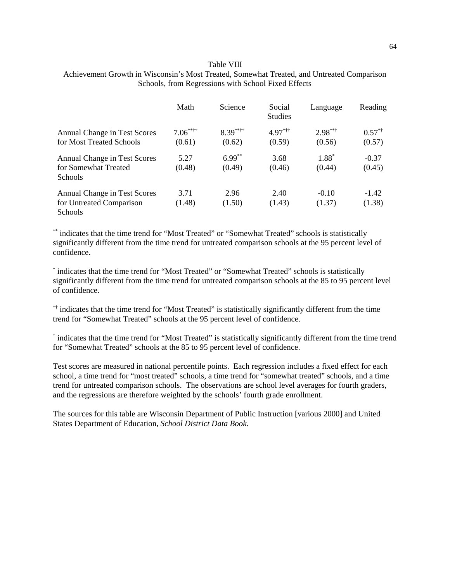### Table VIII

# Achievement Growth in Wisconsin's Most Treated, Somewhat Treated, and Untreated Comparison Schools, from Regressions with School Fixed Effects

|                                                                        | Math                | Science             | Social<br><b>Studies</b> | Language            | Reading            |
|------------------------------------------------------------------------|---------------------|---------------------|--------------------------|---------------------|--------------------|
| Annual Change in Test Scores<br>for Most Treated Schools               | $7.06***$<br>(0.61) | $8.39***$<br>(0.62) | $4.97***$<br>(0.59)      | $2.98***$<br>(0.56) | $0.57**$<br>(0.57) |
| Annual Change in Test Scores<br>for Somewhat Treated<br><b>Schools</b> | 5.27<br>(0.48)      | $6.99***$<br>(0.49) | 3.68<br>(0.46)           | $1.88*$<br>(0.44)   | $-0.37$<br>(0.45)  |
| Annual Change in Test Scores<br>for Untreated Comparison<br>Schools    | 3.71<br>(1.48)      | 2.96<br>(1.50)      | 2.40<br>(1.43)           | $-0.10$<br>(1.37)   | $-1.42$<br>(1.38)  |

\*\* indicates that the time trend for "Most Treated" or "Somewhat Treated" schools is statistically significantly different from the time trend for untreated comparison schools at the 95 percent level of confidence.

\* indicates that the time trend for "Most Treated" or "Somewhat Treated" schools is statistically significantly different from the time trend for untreated comparison schools at the 85 to 95 percent level of confidence.

†† indicates that the time trend for "Most Treated" is statistically significantly different from the time trend for "Somewhat Treated" schools at the 95 percent level of confidence.

<sup>†</sup> indicates that the time trend for "Most Treated" is statistically significantly different from the time trend for "Somewhat Treated" schools at the 85 to 95 percent level of confidence.

Test scores are measured in national percentile points. Each regression includes a fixed effect for each school, a time trend for "most treated" schools, a time trend for "somewhat treated" schools, and a time trend for untreated comparison schools. The observations are school level averages for fourth graders, and the regressions are therefore weighted by the schools' fourth grade enrollment.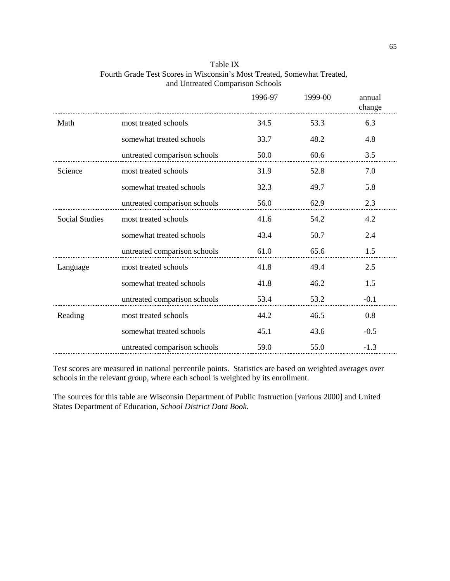|                       |                              | 1996-97 | 1999-00 | annual<br>change |
|-----------------------|------------------------------|---------|---------|------------------|
| Math                  | most treated schools         | 34.5    | 53.3    | 6.3              |
|                       | somewhat treated schools     | 33.7    | 48.2    | 4.8              |
|                       | untreated comparison schools | 50.0    | 60.6    | 3.5              |
| Science               | most treated schools         | 31.9    | 52.8    | 7.0              |
|                       | somewhat treated schools     | 32.3    | 49.7    | 5.8              |
|                       | untreated comparison schools | 56.0    | 62.9    | 2.3              |
| <b>Social Studies</b> | most treated schools         | 41.6    | 54.2    | 4.2              |
|                       | somewhat treated schools     | 43.4    | 50.7    | 2.4              |
|                       | untreated comparison schools | 61.0    | 65.6    | 1.5              |
| Language              | most treated schools         | 41.8    | 49.4    | 2.5              |
|                       | somewhat treated schools     | 41.8    | 46.2    | 1.5              |
|                       | untreated comparison schools | 53.4    | 53.2    | $-0.1$           |
| Reading               | most treated schools         | 44.2    | 46.5    | 0.8              |
|                       | somewhat treated schools     | 45.1    | 43.6    | $-0.5$           |
|                       | untreated comparison schools | 59.0    | 55.0    | $-1.3$           |

Table IX Fourth Grade Test Scores in Wisconsin's Most Treated, Somewhat Treated, and Untreated Comparison Schools

Test scores are measured in national percentile points. Statistics are based on weighted averages over schools in the relevant group, where each school is weighted by its enrollment.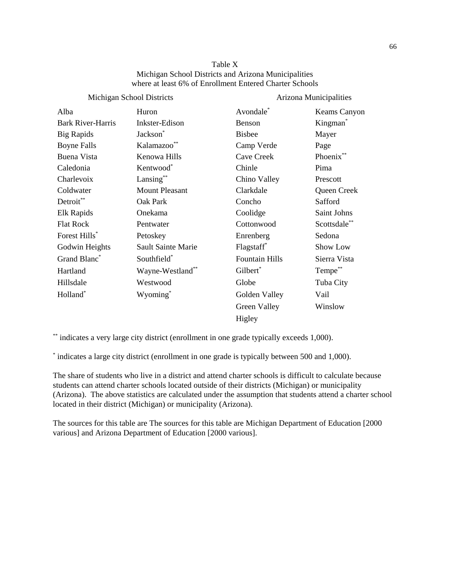# Table X Michigan School Districts and Arizona Municipalities where at least 6% of Enrollment Entered Charter Schools

| Michigan School Districts |                       | Arizona Municipalities |                      |  |
|---------------------------|-----------------------|------------------------|----------------------|--|
| Alba                      | Huron                 | Avondale*              | Keams Canyon         |  |
| <b>Bark River-Harris</b>  | Inkster-Edison        | Benson                 | Kingman <sup>*</sup> |  |
| Big Rapids                | Jackson*              | <b>Bisbee</b>          | Mayer                |  |
| Boyne Falls               | Kalamazoo**           | Camp Verde             | Page                 |  |
| Buena Vista               | Kenowa Hills          | Cave Creek             | Phoenix**            |  |
| Caledonia                 | Kentwood*             | Chinle                 | Pima                 |  |
| Charlevoix                | Lansing**             | Chino Valley           | Prescott             |  |
| Coldwater                 | <b>Mount Pleasant</b> | Clarkdale              | Queen Creek          |  |
| Detroit**                 | Oak Park              | Concho                 | Safford              |  |
| Elk Rapids                | Onekama               | Coolidge               | Saint Johns          |  |
| <b>Flat Rock</b>          | Pentwater             | Cottonwood             | Scottsdale**         |  |
| Forest Hills*             | Petoskey              | Enrenberg              | Sedona               |  |
| Godwin Heights            | Sault Sainte Marie    | Flagstaff <sup>*</sup> | Show Low             |  |
| Grand Blanc*              | Southfield*           | <b>Fountain Hills</b>  | Sierra Vista         |  |
| Hartland                  | Wayne-Westland**      | Gilbert*               | Tempe**              |  |
| Hillsdale                 | Westwood              | Globe                  | Tuba City            |  |
| Holland <sup>*</sup>      | Wyoming*              | Golden Valley          | Vail                 |  |
|                           |                       | Green Valley           | Winslow              |  |
|                           |                       | Higley                 |                      |  |

\*\* indicates a very large city district (enrollment in one grade typically exceeds 1,000).

\* indicates a large city district (enrollment in one grade is typically between 500 and 1,000).

The share of students who live in a district and attend charter schools is difficult to calculate because students can attend charter schools located outside of their districts (Michigan) or municipality (Arizona). The above statistics are calculated under the assumption that students attend a charter school located in their district (Michigan) or municipality (Arizona).

The sources for this table are The sources for this table are Michigan Department of Education [2000 various] and Arizona Department of Education [2000 various].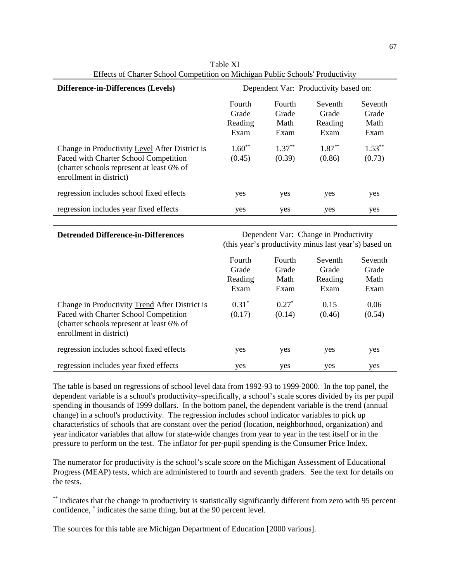| Difference-in-Differences (Levels)                                                                                                                              | Dependent Var: Productivity based on: |                                 |                                     |                                  |
|-----------------------------------------------------------------------------------------------------------------------------------------------------------------|---------------------------------------|---------------------------------|-------------------------------------|----------------------------------|
|                                                                                                                                                                 | Fourth<br>Grade<br>Reading<br>Exam    | Fourth<br>Grade<br>Math<br>Exam | Seventh<br>Grade<br>Reading<br>Exam | Seventh<br>Grade<br>Math<br>Exam |
| Change in Productivity Level After District is<br>Faced with Charter School Competition<br>(charter schools represent at least 6% of<br>enrollment in district) | $1.60**$<br>(0.45)                    | $1.37***$<br>(0.39)             | $1.87**$<br>(0.86)                  | $1.53***$<br>(0.73)              |
| regression includes school fixed effects                                                                                                                        | yes                                   | yes                             | yes                                 | yes                              |
| regression includes year fixed effects                                                                                                                          | yes                                   | yes                             | yes                                 | yes                              |

Table XI Effects of Charter School Competition on Michigan Public Schools' Productivity

**Detrended Difference-in-Differences** Dependent Var: Change in Productivity

(this year's productivity minus last year's) based on

|                                                                                                                                                                 | Fourth<br>Grade<br>Reading<br>Exam | Fourth<br>Grade<br>Math<br>Exam | Seventh<br>Grade<br>Reading<br>Exam | Seventh<br>Grade<br>Math<br>Exam |
|-----------------------------------------------------------------------------------------------------------------------------------------------------------------|------------------------------------|---------------------------------|-------------------------------------|----------------------------------|
| Change in Productivity Trend After District is<br>Faced with Charter School Competition<br>(charter schools represent at least 6% of<br>enrollment in district) | $0.31^*$<br>(0.17)                 | $0.27*$<br>(0.14)               | 0.15<br>(0.46)                      | 0.06<br>(0.54)                   |
| regression includes school fixed effects                                                                                                                        | yes                                | yes                             | yes                                 | yes                              |
| regression includes year fixed effects                                                                                                                          | yes                                | yes                             | yes                                 | yes                              |

The table is based on regressions of school level data from 1992-93 to 1999-2000. In the top panel, the dependent variable is a school's productivity–specifically, a school's scale scores divided by its per pupil spending in thousands of 1999 dollars. In the bottom panel, the dependent variable is the trend (annual change) in a school's productivity. The regression includes school indicator variables to pick up characteristics of schools that are constant over the period (location, neighborhood, organization) and year indicator variables that allow for state-wide changes from year to year in the test itself or in the pressure to perform on the test. The inflator for per-pupil spending is the Consumer Price Index.

The numerator for productivity is the school's scale score on the Michigan Assessment of Educational Progress (MEAP) tests, which are administered to fourth and seventh graders. See the text for details on the tests.

\*\*\*\* indicates that the change in productivity is statistically significantly different from zero with 95 percent confidence, \* indicates the same thing, but at the 90 percent level.

The sources for this table are Michigan Department of Education [2000 various].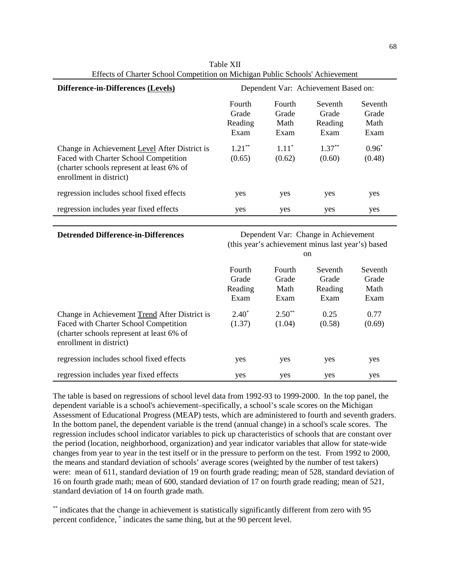| Difference-in-Differences (Levels)                                                                                                                             | Dependent Var: Achievement Based on:            |                                            |                                                  |                                                    |
|----------------------------------------------------------------------------------------------------------------------------------------------------------------|-------------------------------------------------|--------------------------------------------|--------------------------------------------------|----------------------------------------------------|
|                                                                                                                                                                | Fourth<br>Grade<br>Reading<br>Exam<br>$1.21***$ | Fourth<br>Grade<br>Math<br>Exam<br>$1.11*$ | Seventh<br>Grade<br>Reading<br>Exam<br>$1.37***$ | <b>Seventh</b><br>Grade<br>Math<br>Exam<br>$0.96*$ |
| Change in Achievement Level After District is<br>Faced with Charter School Competition<br>(charter schools represent at least 6% of<br>enrollment in district) | (0.65)                                          | (0.62)                                     | (0.60)                                           | (0.48)                                             |
| regression includes school fixed effects                                                                                                                       | yes                                             | yes                                        | yes                                              | yes                                                |
| regression includes year fixed effects                                                                                                                         | yes                                             | yes                                        | yes                                              | yes                                                |

Table XII Effects of Charter School Competition on Michigan Public Schools' Achievement

### **Detrended Difference-in-Differences** Dependent Var: Change in Achievement

(this year's achievement minus last year's) based

|                                                                                                                                                                | <sub>on</sub>                      |                                 |                                     |                                  |
|----------------------------------------------------------------------------------------------------------------------------------------------------------------|------------------------------------|---------------------------------|-------------------------------------|----------------------------------|
|                                                                                                                                                                | Fourth<br>Grade<br>Reading<br>Exam | Fourth<br>Grade<br>Math<br>Exam | Seventh<br>Grade<br>Reading<br>Exam | Seventh<br>Grade<br>Math<br>Exam |
| Change in Achievement Trend After District is<br>Faced with Charter School Competition<br>(charter schools represent at least 6% of<br>enrollment in district) | $2.40^*$<br>(1.37)                 | $2.50**$<br>(1.04)              | 0.25<br>(0.58)                      | 0.77<br>(0.69)                   |
| regression includes school fixed effects                                                                                                                       | yes                                | yes                             | yes                                 | yes                              |
| regression includes year fixed effects                                                                                                                         | yes                                | yes                             | yes                                 | yes                              |

The table is based on regressions of school level data from 1992-93 to 1999-2000. In the top panel, the dependent variable is a school's achievement–specifically, a school's scale scores on the Michigan Assessment of Educational Progress (MEAP) tests, which are administered to fourth and seventh graders. In the bottom panel, the dependent variable is the trend (annual change) in a school's scale scores. The regression includes school indicator variables to pick up characteristics of schools that are constant over the period (location, neighborhood, organization) and year indicator variables that allow for state-wide changes from year to year in the test itself or in the pressure to perform on the test. From 1992 to 2000, the means and standard deviation of schools' average scores (weighted by the number of test takers) were: mean of 611, standard deviation of 19 on fourth grade reading; mean of 528, standard deviation of 16 on fourth grade math; mean of 600, standard deviation of 17 on fourth grade reading; mean of 521, standard deviation of 14 on fourth grade math.

\*\* indicates that the change in achievement is statistically significantly different from zero with 95 percent confidence, \* indicates the same thing, but at the 90 percent level.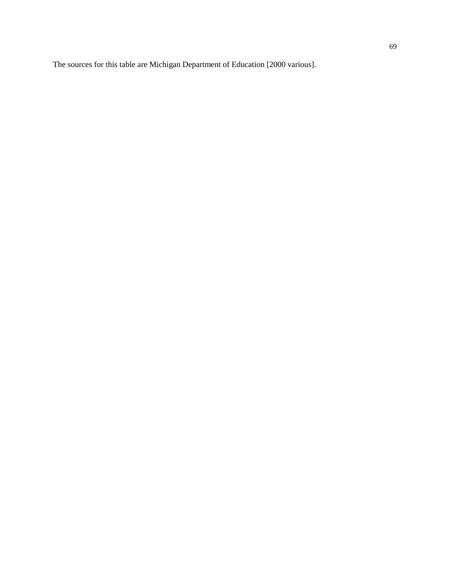The sources for this table are Michigan Department of Education [2000 various].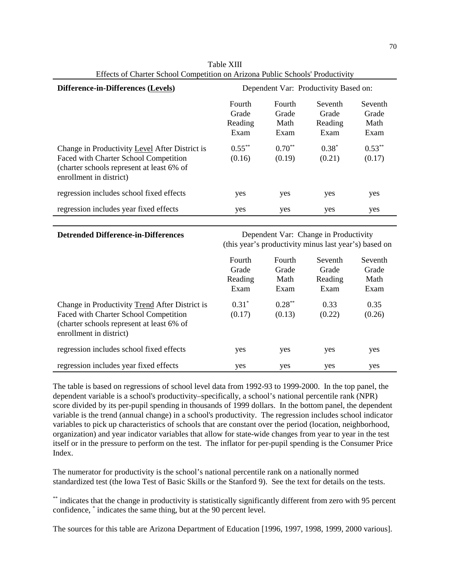| Difference-in-Differences (Levels)                                                                                                                              | Dependent Var: Productivity Based on:     |                                        |                                     |                                         |
|-----------------------------------------------------------------------------------------------------------------------------------------------------------------|-------------------------------------------|----------------------------------------|-------------------------------------|-----------------------------------------|
|                                                                                                                                                                 | <b>Fourth</b><br>Grade<br>Reading<br>Exam | <b>Fourth</b><br>Grade<br>Math<br>Exam | Seventh<br>Grade<br>Reading<br>Exam | <b>Seventh</b><br>Grade<br>Math<br>Exam |
| Change in Productivity Level After District is<br>Faced with Charter School Competition<br>(charter schools represent at least 6% of<br>enrollment in district) | $0.55***$<br>(0.16)                       | $0.70**$<br>(0.19)                     | $0.38^*$<br>(0.21)                  | $0.53***$<br>(0.17)                     |
| regression includes school fixed effects                                                                                                                        | yes                                       | yes                                    | yes                                 | yes                                     |
| regression includes year fixed effects                                                                                                                          | yes                                       | yes                                    | yes                                 | yes                                     |

Table XIII Effects of Charter School Competition on Arizona Public Schools' Productivity

**Detrended Difference-in-Differences** Dependent Var: Change in Productivity

(this year's productivity minus last year's) based on

|                                                                                                                                                                 | Fourth<br>Grade<br>Reading<br>Exam | Fourth<br>Grade<br>Math<br>Exam | Seventh<br>Grade<br>Reading<br>Exam | Seventh<br>Grade<br>Math<br>Exam |
|-----------------------------------------------------------------------------------------------------------------------------------------------------------------|------------------------------------|---------------------------------|-------------------------------------|----------------------------------|
| Change in Productivity Trend After District is<br>Faced with Charter School Competition<br>(charter schools represent at least 6% of<br>enrollment in district) | $0.31^*$<br>(0.17)                 | $0.28***$<br>(0.13)             | 0.33<br>(0.22)                      | 0.35<br>(0.26)                   |
| regression includes school fixed effects                                                                                                                        | yes                                | yes                             | yes                                 | yes                              |
| regression includes year fixed effects                                                                                                                          | yes                                | yes                             | yes                                 | yes                              |

The table is based on regressions of school level data from 1992-93 to 1999-2000. In the top panel, the dependent variable is a school's productivity–specifically, a school's national percentile rank (NPR) score divided by its per-pupil spending in thousands of 1999 dollars. In the bottom panel, the dependent variable is the trend (annual change) in a school's productivity. The regression includes school indicator variables to pick up characteristics of schools that are constant over the period (location, neighborhood, organization) and year indicator variables that allow for state-wide changes from year to year in the test itself or in the pressure to perform on the test. The inflator for per-pupil spending is the Consumer Price Index.

The numerator for productivity is the school's national percentile rank on a nationally normed standardized test (the Iowa Test of Basic Skills or the Stanford 9). See the text for details on the tests.

\*\*\*\* indicates that the change in productivity is statistically significantly different from zero with 95 percent confidence, \* indicates the same thing, but at the 90 percent level.

The sources for this table are Arizona Department of Education [1996, 1997, 1998, 1999, 2000 various].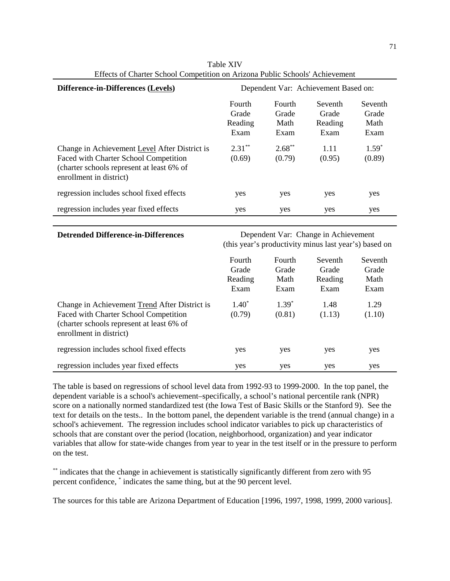| Difference-in-Differences (Levels)                                                                                                                             | Dependent Var: Achievement Based on:      |                                 |                                            |                                  |  |
|----------------------------------------------------------------------------------------------------------------------------------------------------------------|-------------------------------------------|---------------------------------|--------------------------------------------|----------------------------------|--|
|                                                                                                                                                                | <b>Fourth</b><br>Grade<br>Reading<br>Exam | Fourth<br>Grade<br>Math<br>Exam | <b>Seventh</b><br>Grade<br>Reading<br>Exam | Seventh<br>Grade<br>Math<br>Exam |  |
| Change in Achievement Level After District is<br>Faced with Charter School Competition<br>(charter schools represent at least 6% of<br>enrollment in district) | $2.31***$<br>(0.69)                       | $2.68***$<br>(0.79)             | 1.11<br>(0.95)                             | $1.59*$<br>(0.89)                |  |
| regression includes school fixed effects                                                                                                                       | yes                                       | yes                             | yes                                        | yes                              |  |
| regression includes year fixed effects                                                                                                                         | yes                                       | yes                             | yes                                        | yes                              |  |

Table XIV Effects of Charter School Competition on Arizona Public Schools' Achievement

**Detrended Difference-in-Differences** Dependent Var: Change in Achievement

(this year's productivity minus last year's) based on

| Change in Achievement Trend After District is<br>Faced with Charter School Competition<br>(charter schools represent at least 6% of | Fourth<br>Grade<br>Reading<br>Exam<br>$1.40*$<br>(0.79) | Fourth<br>Grade<br>Math<br>Exam<br>$1.39*$<br>(0.81) | Seventh<br>Grade<br>Reading<br>Exam<br>1.48<br>(1.13) | Seventh<br>Grade<br>Math<br>Exam<br>1.29<br>(1.10) |
|-------------------------------------------------------------------------------------------------------------------------------------|---------------------------------------------------------|------------------------------------------------------|-------------------------------------------------------|----------------------------------------------------|
| enrollment in district)                                                                                                             |                                                         |                                                      |                                                       |                                                    |
| regression includes school fixed effects<br>regression includes year fixed effects                                                  | yes<br>yes                                              | yes<br>yes                                           | yes<br>yes                                            | yes<br>yes                                         |

The table is based on regressions of school level data from 1992-93 to 1999-2000. In the top panel, the dependent variable is a school's achievement–specifically, a school's national percentile rank (NPR) score on a nationally normed standardized test (the Iowa Test of Basic Skills or the Stanford 9). See the text for details on the tests.. In the bottom panel, the dependent variable is the trend (annual change) in a school's achievement. The regression includes school indicator variables to pick up characteristics of schools that are constant over the period (location, neighborhood, organization) and year indicator variables that allow for state-wide changes from year to year in the test itself or in the pressure to perform on the test.

\*\* indicates that the change in achievement is statistically significantly different from zero with 95 percent confidence, \* indicates the same thing, but at the 90 percent level.

The sources for this table are Arizona Department of Education [1996, 1997, 1998, 1999, 2000 various].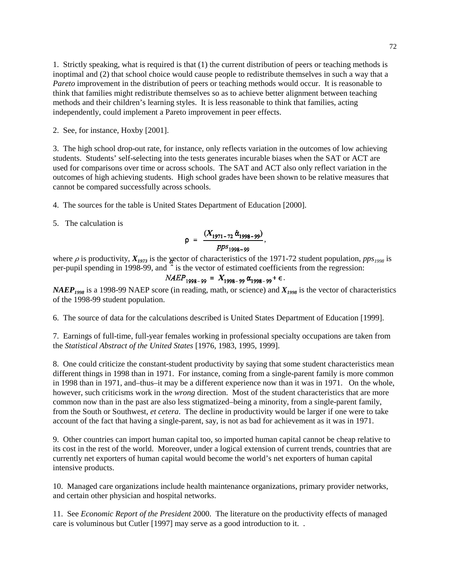1. Strictly speaking, what is required is that (1) the current distribution of peers or teaching methods is inoptimal and (2) that school choice would cause people to redistribute themselves in such a way that a *Pareto* improvement in the distribution of peers or teaching methods would occur. It is reasonable to think that families might redistribute themselves so as to achieve better alignment between teaching methods and their children's learning styles. It is less reasonable to think that families, acting independently, could implement a Pareto improvement in peer effects.

2. See, for instance, Hoxby [2001].

3. The high school drop-out rate, for instance, only reflects variation in the outcomes of low achieving students. Students' self-selecting into the tests generates incurable biases when the SAT or ACT are used for comparisons over time or across schools. The SAT and ACT also only reflect variation in the outcomes of high achieving students. High school grades have been shown to be relative measures that cannot be compared successfully across schools.

- 4. The sources for the table is United States Department of Education [2000].
- 5. The calculation is

$$
\rho = \frac{(X_{1971-72} \hat{\alpha}_{1998-99})}{pps_{1998-99}},
$$

where  $\rho$  is productivity,  $X_{1973}$  is the vector of characteristics of the 1971-72 student population,  $pps_{1998}$  is per-pupil spending in 1998-99, and  $\hat{\alpha}$  is the vector of estimated coefficients from the regression:

$$
NAEP_{1998-99} = X_{1998-99} \alpha_{1998-99} + \epsilon.
$$

*NAEP<sub>1998</sub>* is a 1998-99 NAEP score (in reading, math, or science) and  $X_{1998}$  is the vector of characteristics of the 1998-99 student population.

6. The source of data for the calculations described is United States Department of Education [1999].

7. Earnings of full-time, full-year females working in professional specialty occupations are taken from the *Statistical Abstract of the United States* [1976, 1983, 1995, 1999].

8. One could criticize the constant-student productivity by saying that some student characteristics mean different things in 1998 than in 1971. For instance, coming from a single-parent family is more common in 1998 than in 1971, and–thus–it may be a different experience now than it was in 1971. On the whole, however, such criticisms work in the *wrong* direction. Most of the student characteristics that are more common now than in the past are also less stigmatized–being a minority, from a single-parent family, from the South or Southwest, *et cetera*. The decline in productivity would be larger if one were to take account of the fact that having a single-parent, say, is not as bad for achievement as it was in 1971.

9. Other countries can import human capital too, so imported human capital cannot be cheap relative to its cost in the rest of the world. Moreover, under a logical extension of current trends, countries that are currently net exporters of human capital would become the world's net exporters of human capital intensive products.

10. Managed care organizations include health maintenance organizations, primary provider networks, and certain other physician and hospital networks.

11. See *Economic Report of the President* 2000. The literature on the productivity effects of managed care is voluminous but Cutler [1997] may serve as a good introduction to it. .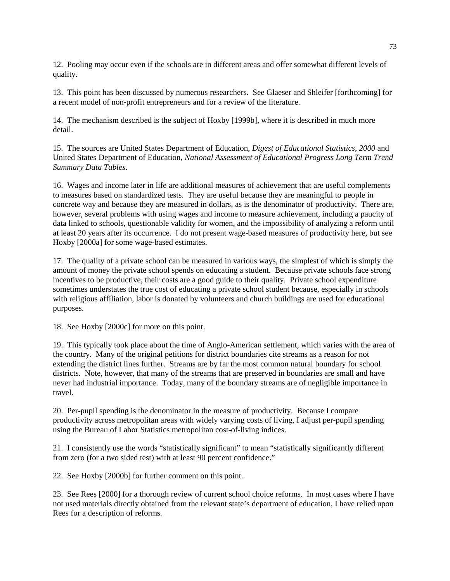12. Pooling may occur even if the schools are in different areas and offer somewhat different levels of quality.

13. This point has been discussed by numerous researchers. See Glaeser and Shleifer [forthcoming] for a recent model of non-profit entrepreneurs and for a review of the literature.

14. The mechanism described is the subject of Hoxby [1999b], where it is described in much more detail.

15. The sources are United States Department of Education, *Digest of Educational Statistics, 2000* and United States Department of Education, *National Assessment of Educational Progress Long Term Trend Summary Data Tables*.

16. Wages and income later in life are additional measures of achievement that are useful complements to measures based on standardized tests. They are useful because they are meaningful to people in concrete way and because they are measured in dollars, as is the denominator of productivity. There are, however, several problems with using wages and income to measure achievement, including a paucity of data linked to schools, questionable validity for women, and the impossibility of analyzing a reform until at least 20 years after its occurrence. I do not present wage-based measures of productivity here, but see Hoxby [2000a] for some wage-based estimates.

17. The quality of a private school can be measured in various ways, the simplest of which is simply the amount of money the private school spends on educating a student. Because private schools face strong incentives to be productive, their costs are a good guide to their quality. Private school expenditure sometimes understates the true cost of educating a private school student because, especially in schools with religious affiliation, labor is donated by volunteers and church buildings are used for educational purposes.

18. See Hoxby [2000c] for more on this point.

19. This typically took place about the time of Anglo-American settlement, which varies with the area of the country. Many of the original petitions for district boundaries cite streams as a reason for not extending the district lines further. Streams are by far the most common natural boundary for school districts. Note, however, that many of the streams that are preserved in boundaries are small and have never had industrial importance. Today, many of the boundary streams are of negligible importance in travel.

20. Per-pupil spending is the denominator in the measure of productivity. Because I compare productivity across metropolitan areas with widely varying costs of living, I adjust per-pupil spending using the Bureau of Labor Statistics metropolitan cost-of-living indices.

21. I consistently use the words "statistically significant" to mean "statistically significantly different from zero (for a two sided test) with at least 90 percent confidence."

22. See Hoxby [2000b] for further comment on this point.

23. See Rees [2000] for a thorough review of current school choice reforms. In most cases where I have not used materials directly obtained from the relevant state's department of education, I have relied upon Rees for a description of reforms.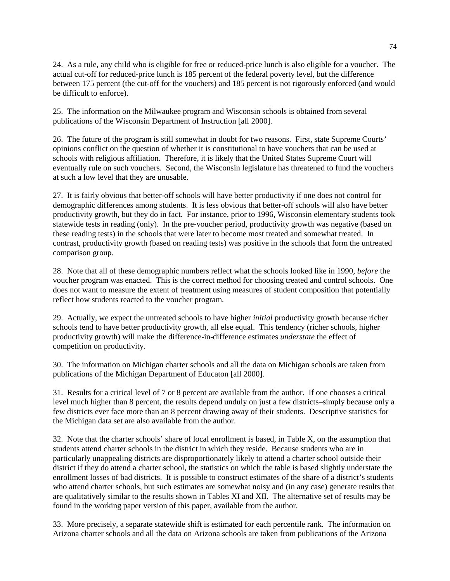24. As a rule, any child who is eligible for free or reduced-price lunch is also eligible for a voucher. The actual cut-off for reduced-price lunch is 185 percent of the federal poverty level, but the difference between 175 percent (the cut-off for the vouchers) and 185 percent is not rigorously enforced (and would be difficult to enforce).

25. The information on the Milwaukee program and Wisconsin schools is obtained from several publications of the Wisconsin Department of Instruction [all 2000].

26. The future of the program is still somewhat in doubt for two reasons. First, state Supreme Courts' opinions conflict on the question of whether it is constitutional to have vouchers that can be used at schools with religious affiliation. Therefore, it is likely that the United States Supreme Court will eventually rule on such vouchers. Second, the Wisconsin legislature has threatened to fund the vouchers at such a low level that they are unusable.

27. It is fairly obvious that better-off schools will have better productivity if one does not control for demographic differences among students. It is less obvious that better-off schools will also have better productivity growth, but they do in fact. For instance, prior to 1996, Wisconsin elementary students took statewide tests in reading (only). In the pre-voucher period, productivity growth was negative (based on these reading tests) in the schools that were later to become most treated and somewhat treated. In contrast, productivity growth (based on reading tests) was positive in the schools that form the untreated comparison group.

28. Note that all of these demographic numbers reflect what the schools looked like in 1990, *before* the voucher program was enacted. This is the correct method for choosing treated and control schools. One does not want to measure the extent of treatment using measures of student composition that potentially reflect how students reacted to the voucher program.

29. Actually, we expect the untreated schools to have higher *initial* productivity growth because richer schools tend to have better productivity growth, all else equal. This tendency (richer schools, higher productivity growth) will make the difference-in-difference estimates *understate* the effect of competition on productivity.

30. The information on Michigan charter schools and all the data on Michigan schools are taken from publications of the Michigan Department of Educaton [all 2000].

31. Results for a critical level of 7 or 8 percent are available from the author. If one chooses a critical level much higher than 8 percent, the results depend unduly on just a few districts–simply because only a few districts ever face more than an 8 percent drawing away of their students. Descriptive statistics for the Michigan data set are also available from the author.

32. Note that the charter schools' share of local enrollment is based, in Table X, on the assumption that students attend charter schools in the district in which they reside. Because students who are in particularly unappealing districts are disproportionately likely to attend a charter school outside their district if they do attend a charter school, the statistics on which the table is based slightly understate the enrollment losses of bad districts. It is possible to construct estimates of the share of a district's students who attend charter schools, but such estimates are somewhat noisy and (in any case) generate results that are qualitatively similar to the results shown in Tables XI and XII. The alternative set of results may be found in the working paper version of this paper, available from the author.

33. More precisely, a separate statewide shift is estimated for each percentile rank. The information on Arizona charter schools and all the data on Arizona schools are taken from publications of the Arizona